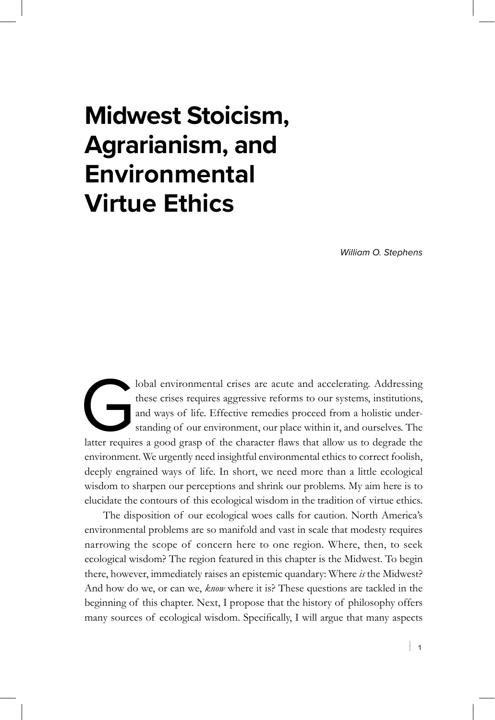# **Midwest Stoicism, Agrarianism, and Environmental Virtue Ethics**

*William O. Stephens*

lobal environmental crises are acute and accelerating. Addressing<br>these crises requires aggressive reforms to our systems, institutions,<br>and ways of life. Effective remedies proceed from a holistic under-<br>standing of our e these crises requires aggressive reforms to our systems, institutions, and ways of life. Effective remedies proceed from a holistic understanding of our environment, our place within it, and ourselves. The environment. We urgently need insightful environmental ethics to correct foolish, deeply engrained ways of life. In short, we need more than a little ecological wisdom to sharpen our perceptions and shrink our problems. My aim here is to elucidate the contours of this ecological wisdom in the tradition of virtue ethics.

The disposition of our ecological woes calls for caution. North America's environmental problems are so manifold and vast in scale that modesty requires narrowing the scope of concern here to one region. Where, then, to seek ecological wisdom? The region featured in this chapter is the Midwest. To begin there, however, immediately raises an epistemic quandary: Where *is* the Midwest? And how do we, or can we, *know* where it is? These questions are tackled in the beginning of this chapter. Next, I propose that the history of philosophy offers many sources of ecological wisdom. Specifically, I will argue that many aspects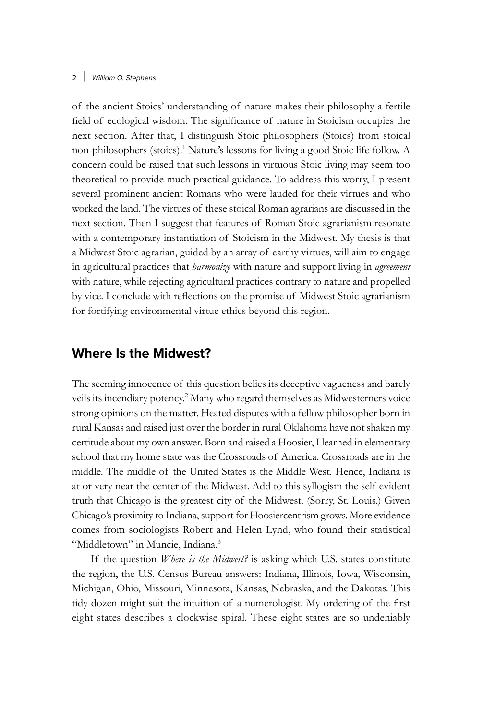of the ancient Stoics' understanding of nature makes their philosophy a fertile field of ecological wisdom. The significance of nature in Stoicism occupies the next section. After that, I distinguish Stoic philosophers (Stoics) from stoical non-philosophers (stoics).<sup>1</sup> Nature's lessons for living a good Stoic life follow. A concern could be raised that such lessons in virtuous Stoic living may seem too theoretical to provide much practical guidance. To address this worry, I present several prominent ancient Romans who were lauded for their virtues and who worked the land. The virtues of these stoical Roman agrarians are discussed in the next section. Then I suggest that features of Roman Stoic agrarianism resonate with a contemporary instantiation of Stoicism in the Midwest. My thesis is that a Midwest Stoic agrarian, guided by an array of earthy virtues, will aim to engage in agricultural practices that *harmonize* with nature and support living in *agreement* with nature, while rejecting agricultural practices contrary to nature and propelled by vice. I conclude with reflections on the promise of Midwest Stoic agrarianism for fortifying environmental virtue ethics beyond this region.

# **Where Is the Midwest?**

The seeming innocence of this question belies its deceptive vagueness and barely veils its incendiary potency.<sup>2</sup> Many who regard themselves as Midwesterners voice strong opinions on the matter. Heated disputes with a fellow philosopher born in rural Kansas and raised just over the border in rural Oklahoma have not shaken my certitude about my own answer. Born and raised a Hoosier, I learned in elementary school that my home state was the Crossroads of America. Crossroads are in the middle. The middle of the United States is the Middle West. Hence, Indiana is at or very near the center of the Midwest. Add to this syllogism the self-evident truth that Chicago is the greatest city of the Midwest. (Sorry, St. Louis.) Given Chicago's proximity to Indiana, support for Hoosiercentrism grows. More evidence comes from sociologists Robert and Helen Lynd, who found their statistical "Middletown" in Muncie, Indiana.<sup>3</sup>

If the question *Where is the Midwest?* is asking which U.S. states constitute the region, the U.S. Census Bureau answers: Indiana, Illinois, Iowa, Wisconsin, Michigan, Ohio, Missouri, Minnesota, Kansas, Nebraska, and the Dakotas. This tidy dozen might suit the intuition of a numerologist. My ordering of the first eight states describes a clockwise spiral. These eight states are so undeniably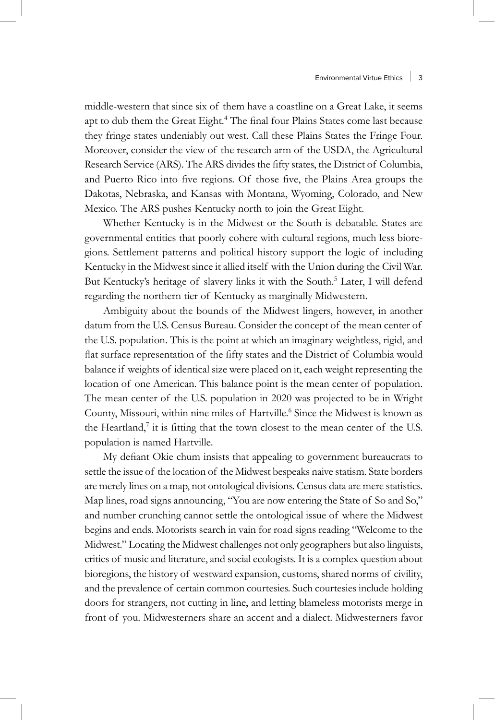middle-western that since six of them have a coastline on a Great Lake, it seems apt to dub them the Great Eight.<sup>4</sup> The final four Plains States come last because they fringe states undeniably out west. Call these Plains States the Fringe Four. Moreover, consider the view of the research arm of the USDA, the Agricultural Research Service (ARS). The ARS divides the fifty states, the District of Columbia, and Puerto Rico into five regions. Of those five, the Plains Area groups the Dakotas, Nebraska, and Kansas with Montana, Wyoming, Colorado, and New Mexico. The ARS pushes Kentucky north to join the Great Eight.

Whether Kentucky is in the Midwest or the South is debatable. States are governmental entities that poorly cohere with cultural regions, much less bioregions. Settlement patterns and political history support the logic of including Kentucky in the Midwest since it allied itself with the Union during the Civil War. But Kentucky's heritage of slavery links it with the South.<sup>5</sup> Later, I will defend regarding the northern tier of Kentucky as marginally Midwestern.

Ambiguity about the bounds of the Midwest lingers, however, in another datum from the U.S. Census Bureau. Consider the concept of the mean center of the U.S. population. This is the point at which an imaginary weightless, rigid, and flat surface representation of the fifty states and the District of Columbia would balance if weights of identical size were placed on it, each weight representing the location of one American. This balance point is the mean center of population. The mean center of the U.S. population in 2020 was projected to be in Wright County, Missouri, within nine miles of Hartville.<sup>6</sup> Since the Midwest is known as the Heartland, $7$  it is fitting that the town closest to the mean center of the U.S. population is named Hartville.

My defiant Okie chum insists that appealing to government bureaucrats to settle the issue of the location of the Midwest bespeaks naive statism. State borders are merely lines on a map, not ontological divisions. Census data are mere statistics. Map lines, road signs announcing, "You are now entering the State of So and So," and number crunching cannot settle the ontological issue of where the Midwest begins and ends. Motorists search in vain for road signs reading "Welcome to the Midwest." Locating the Midwest challenges not only geographers but also linguists, critics of music and literature, and social ecologists. It is a complex question about bioregions, the history of westward expansion, customs, shared norms of civility, and the prevalence of certain common courtesies. Such courtesies include holding doors for strangers, not cutting in line, and letting blameless motorists merge in front of you. Midwesterners share an accent and a dialect. Midwesterners favor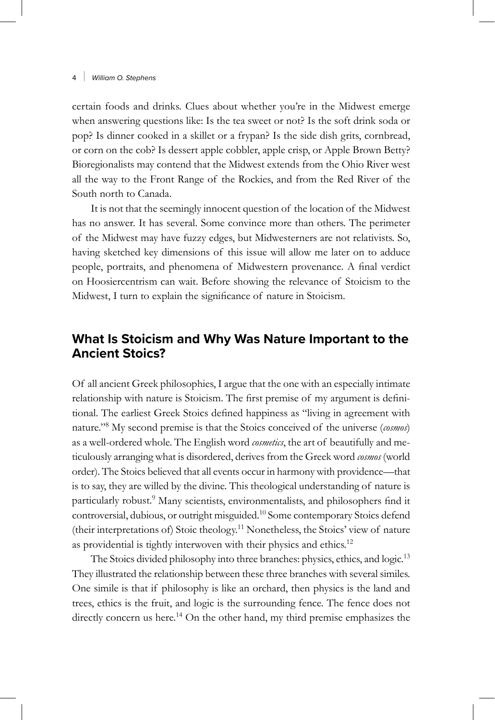certain foods and drinks. Clues about whether you're in the Midwest emerge when answering questions like: Is the tea sweet or not? Is the soft drink soda or pop? Is dinner cooked in a skillet or a frypan? Is the side dish grits, cornbread, or corn on the cob? Is dessert apple cobbler, apple crisp, or Apple Brown Betty? Bioregionalists may contend that the Midwest extends from the Ohio River west all the way to the Front Range of the Rockies, and from the Red River of the South north to Canada.

It is not that the seemingly innocent question of the location of the Midwest has no answer. It has several. Some convince more than others. The perimeter of the Midwest may have fuzzy edges, but Midwesterners are not relativists. So, having sketched key dimensions of this issue will allow me later on to adduce people, portraits, and phenomena of Midwestern provenance. A final verdict on Hoosiercentrism can wait. Before showing the relevance of Stoicism to the Midwest, I turn to explain the significance of nature in Stoicism.

# **What Is Stoicism and Why Was Nature Important to the Ancient Stoics?**

Of all ancient Greek philosophies, I argue that the one with an especially intimate relationship with nature is Stoicism. The first premise of my argument is definitional. The earliest Greek Stoics defined happiness as "living in agreement with nature."<sup>8</sup> My second premise is that the Stoics conceived of the universe (*cosmos*) as a well-ordered whole. The English word *cosmetics*, the art of beautifully and meticulously arranging what is disordered, derives from the Greek word *cosmos* (world order). The Stoics believed that all events occur in harmony with providence—that is to say, they are willed by the divine. This theological understanding of nature is particularly robust.<sup>9</sup> Many scientists, environmentalists, and philosophers find it controversial, dubious, or outright misguided.<sup>10</sup> Some contemporary Stoics defend (their interpretations of) Stoic theology.11 Nonetheless, the Stoics' view of nature as providential is tightly interwoven with their physics and ethics.<sup>12</sup>

The Stoics divided philosophy into three branches: physics, ethics, and logic.<sup>13</sup> They illustrated the relationship between these three branches with several similes. One simile is that if philosophy is like an orchard, then physics is the land and trees, ethics is the fruit, and logic is the surrounding fence. The fence does not directly concern us here.<sup>14</sup> On the other hand, my third premise emphasizes the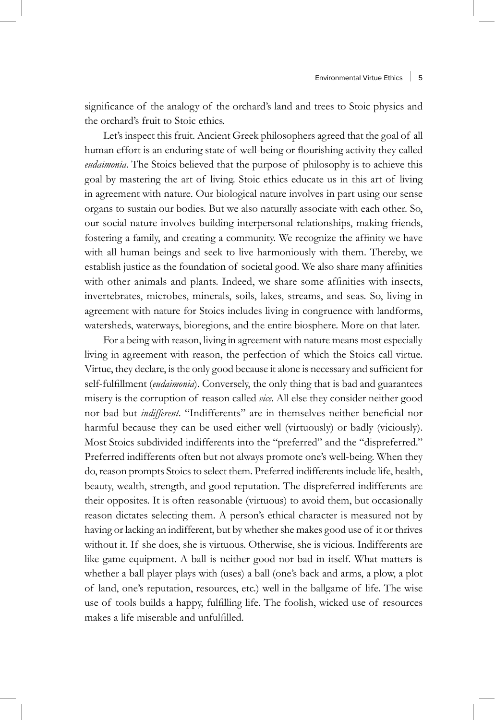significance of the analogy of the orchard's land and trees to Stoic physics and the orchard's fruit to Stoic ethics.

Let's inspect this fruit. Ancient Greek philosophers agreed that the goal of all human effort is an enduring state of well-being or flourishing activity they called *eudaimonia*. The Stoics believed that the purpose of philosophy is to achieve this goal by mastering the art of living. Stoic ethics educate us in this art of living in agreement with nature. Our biological nature involves in part using our sense organs to sustain our bodies. But we also naturally associate with each other. So, our social nature involves building interpersonal relationships, making friends, fostering a family, and creating a community. We recognize the affinity we have with all human beings and seek to live harmoniously with them. Thereby, we establish justice as the foundation of societal good. We also share many affinities with other animals and plants. Indeed, we share some affinities with insects, invertebrates, microbes, minerals, soils, lakes, streams, and seas. So, living in agreement with nature for Stoics includes living in congruence with landforms, watersheds, waterways, bioregions, and the entire biosphere. More on that later.

For a being with reason, living in agreement with nature means most especially living in agreement with reason, the perfection of which the Stoics call virtue. Virtue, they declare, is the only good because it alone is necessary and sufficient for self-fulfillment (*eudaimonia*). Conversely, the only thing that is bad and guarantees misery is the corruption of reason called *vice*. All else they consider neither good nor bad but *indifferent*. "Indifferents" are in themselves neither beneficial nor harmful because they can be used either well (virtuously) or badly (viciously). Most Stoics subdivided indifferents into the "preferred" and the "dispreferred." Preferred indifferents often but not always promote one's well-being. When they do, reason prompts Stoics to select them. Preferred indifferents include life, health, beauty, wealth, strength, and good reputation. The dispreferred indifferents are their opposites. It is often reasonable (virtuous) to avoid them, but occasionally reason dictates selecting them. A person's ethical character is measured not by having or lacking an indifferent, but by whether she makes good use of it or thrives without it. If she does, she is virtuous. Otherwise, she is vicious. Indifferents are like game equipment. A ball is neither good nor bad in itself. What matters is whether a ball player plays with (uses) a ball (one's back and arms, a plow, a plot of land, one's reputation, resources, etc.) well in the ballgame of life. The wise use of tools builds a happy, fulfilling life. The foolish, wicked use of resources makes a life miserable and unfulfilled.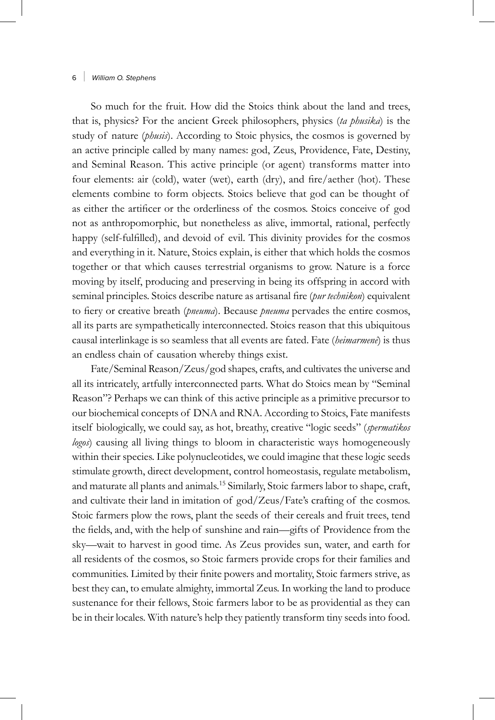So much for the fruit. How did the Stoics think about the land and trees, that is, physics? For the ancient Greek philosophers, physics (*ta phusika*) is the study of nature (*phusis*). According to Stoic physics, the cosmos is governed by an active principle called by many names: god, Zeus, Providence, Fate, Destiny, and Seminal Reason. This active principle (or agent) transforms matter into four elements: air (cold), water (wet), earth (dry), and fire/aether (hot). These elements combine to form objects. Stoics believe that god can be thought of as either the artificer or the orderliness of the cosmos. Stoics conceive of god not as anthropomorphic, but nonetheless as alive, immortal, rational, perfectly happy (self-fulfilled), and devoid of evil. This divinity provides for the cosmos and everything in it. Nature, Stoics explain, is either that which holds the cosmos together or that which causes terrestrial organisms to grow. Nature is a force moving by itself, producing and preserving in being its offspring in accord with seminal principles. Stoics describe nature as artisanal fire (*pur technikon*) equivalent to fiery or creative breath (*pneuma*). Because *pneuma* pervades the entire cosmos, all its parts are sympathetically interconnected. Stoics reason that this ubiquitous causal interlinkage is so seamless that all events are fated. Fate (*heimarmenē*) is thus an endless chain of causation whereby things exist.

Fate/Seminal Reason/Zeus/god shapes, crafts, and cultivates the universe and all its intricately, artfully interconnected parts. What do Stoics mean by "Seminal Reason"? Perhaps we can think of this active principle as a primitive precursor to our biochemical concepts of DNA and RNA. According to Stoics, Fate manifests itself biologically, we could say, as hot, breathy, creative "logic seeds" (*spermatikos logos*) causing all living things to bloom in characteristic ways homogeneously within their species. Like polynucleotides, we could imagine that these logic seeds stimulate growth, direct development, control homeostasis, regulate metabolism, and maturate all plants and animals.15 Similarly, Stoic farmers labor to shape, craft, and cultivate their land in imitation of god/Zeus/Fate's crafting of the cosmos. Stoic farmers plow the rows, plant the seeds of their cereals and fruit trees, tend the fields, and, with the help of sunshine and rain—gifts of Providence from the sky—wait to harvest in good time. As Zeus provides sun, water, and earth for all residents of the cosmos, so Stoic farmers provide crops for their families and communities. Limited by their finite powers and mortality, Stoic farmers strive, as best they can, to emulate almighty, immortal Zeus. In working the land to produce sustenance for their fellows, Stoic farmers labor to be as providential as they can be in their locales. With nature's help they patiently transform tiny seeds into food.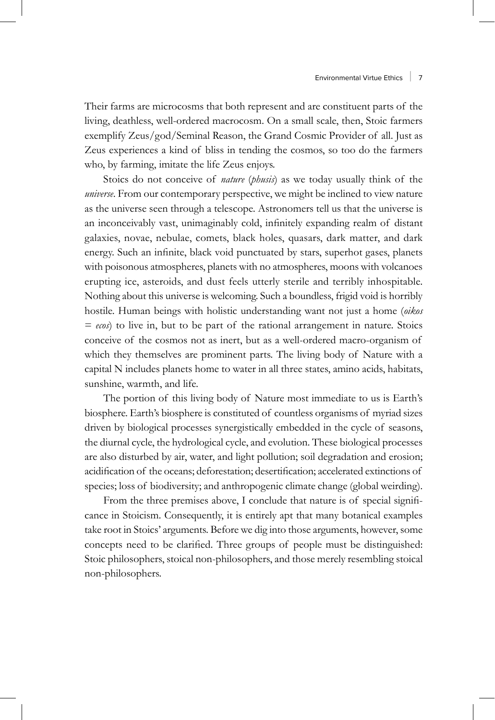Their farms are microcosms that both represent and are constituent parts of the living, deathless, well-ordered macrocosm. On a small scale, then, Stoic farmers exemplify Zeus/god/Seminal Reason, the Grand Cosmic Provider of all. Just as Zeus experiences a kind of bliss in tending the cosmos, so too do the farmers who, by farming, imitate the life Zeus enjoys.

Stoics do not conceive of *nature* (*phusis*) as we today usually think of the *universe*. From our contemporary perspective, we might be inclined to view nature as the universe seen through a telescope. Astronomers tell us that the universe is an inconceivably vast, unimaginably cold, infinitely expanding realm of distant galaxies, novae, nebulae, comets, black holes, quasars, dark matter, and dark energy. Such an infinite, black void punctuated by stars, superhot gases, planets with poisonous atmospheres, planets with no atmospheres, moons with volcanoes erupting ice, asteroids, and dust feels utterly sterile and terribly inhospitable. Nothing about this universe is welcoming. Such a boundless, frigid void is horribly hostile. Human beings with holistic understanding want not just a home (*oikos* = *ecos*) to live in, but to be part of the rational arrangement in nature. Stoics conceive of the cosmos not as inert, but as a well-ordered macro-organism of which they themselves are prominent parts. The living body of Nature with a capital N includes planets home to water in all three states, amino acids, habitats, sunshine, warmth, and life.

The portion of this living body of Nature most immediate to us is Earth's biosphere. Earth's biosphere is constituted of countless organisms of myriad sizes driven by biological processes synergistically embedded in the cycle of seasons, the diurnal cycle, the hydrological cycle, and evolution. These biological processes are also disturbed by air, water, and light pollution; soil degradation and erosion; acidification of the oceans; deforestation; desertification; accelerated extinctions of species; loss of biodiversity; and anthropogenic climate change (global weirding).

From the three premises above, I conclude that nature is of special significance in Stoicism. Consequently, it is entirely apt that many botanical examples take root in Stoics' arguments. Before we dig into those arguments, however, some concepts need to be clarified. Three groups of people must be distinguished: Stoic philosophers, stoical non-philosophers, and those merely resembling stoical non-philosophers.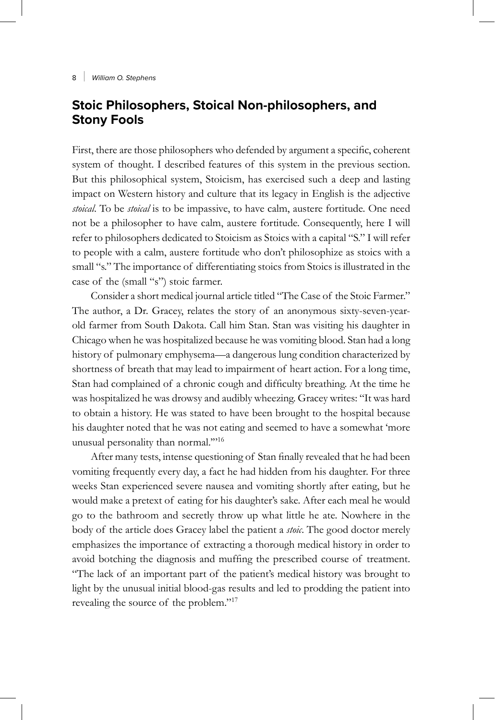# **Stoic Philosophers, Stoical Non-philosophers, and Stony Fools**

First, there are those philosophers who defended by argument a specific, coherent system of thought. I described features of this system in the previous section. But this philosophical system, Stoicism, has exercised such a deep and lasting impact on Western history and culture that its legacy in English is the adjective *stoical*. To be *stoical* is to be impassive, to have calm, austere fortitude. One need not be a philosopher to have calm, austere fortitude. Consequently, here I will refer to philosophers dedicated to Stoicism as Stoics with a capital "S." I will refer to people with a calm, austere fortitude who don't philosophize as stoics with a small "s." The importance of differentiating stoics from Stoics is illustrated in the case of the (small "s") stoic farmer.

Consider a short medical journal article titled "The Case of the Stoic Farmer." The author, a Dr. Gracey, relates the story of an anonymous sixty-seven-yearold farmer from South Dakota. Call him Stan. Stan was visiting his daughter in Chicago when he was hospitalized because he was vomiting blood. Stan had a long history of pulmonary emphysema—a dangerous lung condition characterized by shortness of breath that may lead to impairment of heart action. For a long time, Stan had complained of a chronic cough and difficulty breathing. At the time he was hospitalized he was drowsy and audibly wheezing. Gracey writes: "It was hard to obtain a history. He was stated to have been brought to the hospital because his daughter noted that he was not eating and seemed to have a somewhat 'more unusual personality than normal.'"<sup>16</sup>

After many tests, intense questioning of Stan finally revealed that he had been vomiting frequently every day, a fact he had hidden from his daughter. For three weeks Stan experienced severe nausea and vomiting shortly after eating, but he would make a pretext of eating for his daughter's sake. After each meal he would go to the bathroom and secretly throw up what little he ate. Nowhere in the body of the article does Gracey label the patient a *stoic*. The good doctor merely emphasizes the importance of extracting a thorough medical history in order to avoid botching the diagnosis and muffing the prescribed course of treatment. "The lack of an important part of the patient's medical history was brought to light by the unusual initial blood-gas results and led to prodding the patient into revealing the source of the problem."<sup>17</sup>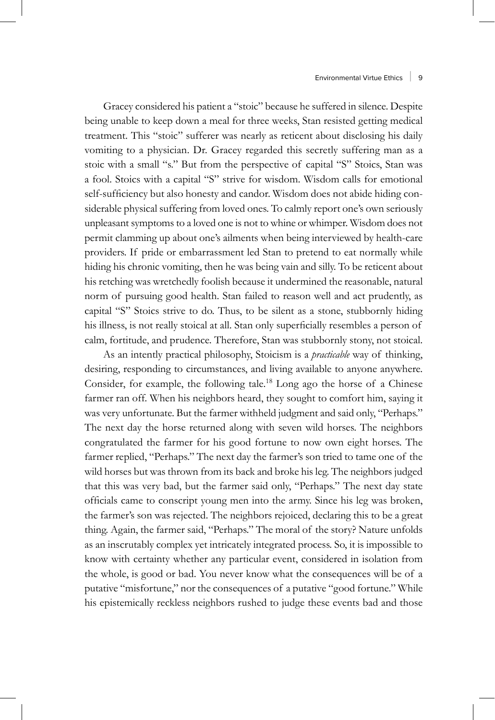Gracey considered his patient a "stoic" because he suffered in silence. Despite being unable to keep down a meal for three weeks, Stan resisted getting medical treatment. This "stoic" sufferer was nearly as reticent about disclosing his daily vomiting to a physician. Dr. Gracey regarded this secretly suffering man as a stoic with a small "s." But from the perspective of capital "S" Stoics, Stan was a fool. Stoics with a capital "S" strive for wisdom. Wisdom calls for emotional self-sufficiency but also honesty and candor. Wisdom does not abide hiding considerable physical suffering from loved ones. To calmly report one's own seriously unpleasant symptoms to a loved one is not to whine or whimper. Wisdom does not permit clamming up about one's ailments when being interviewed by health-care providers. If pride or embarrassment led Stan to pretend to eat normally while hiding his chronic vomiting, then he was being vain and silly. To be reticent about his retching was wretchedly foolish because it undermined the reasonable, natural norm of pursuing good health. Stan failed to reason well and act prudently, as capital "S" Stoics strive to do. Thus, to be silent as a stone, stubbornly hiding his illness, is not really stoical at all. Stan only superficially resembles a person of calm, fortitude, and prudence. Therefore, Stan was stubbornly stony, not stoical.

As an intently practical philosophy, Stoicism is a *practicable* way of thinking, desiring, responding to circumstances, and living available to anyone anywhere. Consider, for example, the following tale.18 Long ago the horse of a Chinese farmer ran off. When his neighbors heard, they sought to comfort him, saying it was very unfortunate. But the farmer withheld judgment and said only, "Perhaps." The next day the horse returned along with seven wild horses. The neighbors congratulated the farmer for his good fortune to now own eight horses. The farmer replied, "Perhaps." The next day the farmer's son tried to tame one of the wild horses but was thrown from its back and broke his leg. The neighbors judged that this was very bad, but the farmer said only, "Perhaps." The next day state officials came to conscript young men into the army. Since his leg was broken, the farmer's son was rejected. The neighbors rejoiced, declaring this to be a great thing. Again, the farmer said, "Perhaps." The moral of the story? Nature unfolds as an inscrutably complex yet intricately integrated process. So, it is impossible to know with certainty whether any particular event, considered in isolation from the whole, is good or bad. You never know what the consequences will be of a putative "misfortune," nor the consequences of a putative "good fortune." While his epistemically reckless neighbors rushed to judge these events bad and those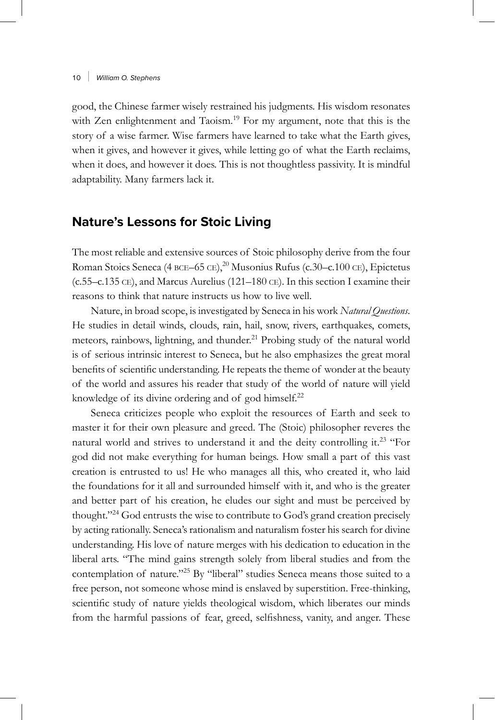good, the Chinese farmer wisely restrained his judgments. His wisdom resonates with Zen enlightenment and Taoism.<sup>19</sup> For my argument, note that this is the story of a wise farmer. Wise farmers have learned to take what the Earth gives, when it gives, and however it gives, while letting go of what the Earth reclaims, when it does, and however it does. This is not thoughtless passivity. It is mindful adaptability. Many farmers lack it.

# **Nature's Lessons for Stoic Living**

The most reliable and extensive sources of Stoic philosophy derive from the four Roman Stoics Seneca (4 BCE–65 CE),<sup>20</sup> Musonius Rufus (c.30–c.100 CE), Epictetus (c.55–c.135 ce), and Marcus Aurelius (121–180 ce). In this section I examine their reasons to think that nature instructs us how to live well.

Nature, in broad scope, is investigated by Seneca in his work *Natural Questions*. He studies in detail winds, clouds, rain, hail, snow, rivers, earthquakes, comets, meteors, rainbows, lightning, and thunder.<sup>21</sup> Probing study of the natural world is of serious intrinsic interest to Seneca, but he also emphasizes the great moral benefits of scientific understanding. He repeats the theme of wonder at the beauty of the world and assures his reader that study of the world of nature will yield knowledge of its divine ordering and of god himself.<sup>22</sup>

Seneca criticizes people who exploit the resources of Earth and seek to master it for their own pleasure and greed. The (Stoic) philosopher reveres the natural world and strives to understand it and the deity controlling it.<sup>23</sup> "For god did not make everything for human beings. How small a part of this vast creation is entrusted to us! He who manages all this, who created it, who laid the foundations for it all and surrounded himself with it, and who is the greater and better part of his creation, he eludes our sight and must be perceived by thought."<sup>24</sup> God entrusts the wise to contribute to God's grand creation precisely by acting rationally. Seneca's rationalism and naturalism foster his search for divine understanding. His love of nature merges with his dedication to education in the liberal arts. "The mind gains strength solely from liberal studies and from the contemplation of nature."<sup>25</sup> By "liberal" studies Seneca means those suited to a free person, not someone whose mind is enslaved by superstition. Free-thinking, scientific study of nature yields theological wisdom, which liberates our minds from the harmful passions of fear, greed, selfishness, vanity, and anger. These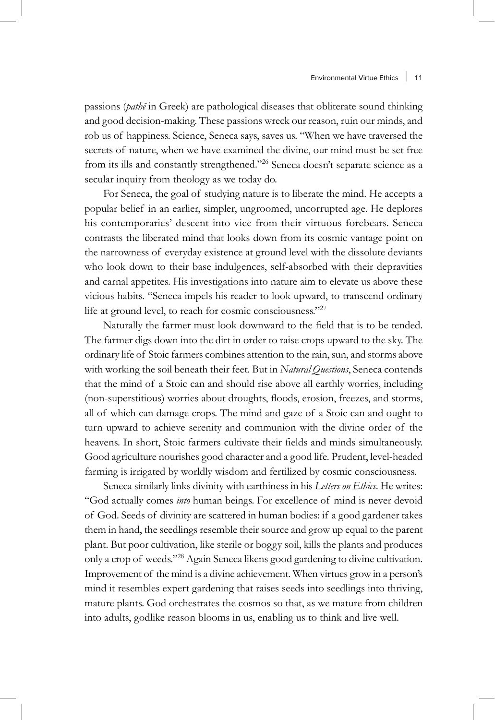passions (*pathē* in Greek) are pathological diseases that obliterate sound thinking and good decision-making. These passions wreck our reason, ruin our minds, and rob us of happiness. Science, Seneca says, saves us. "When we have traversed the secrets of nature, when we have examined the divine, our mind must be set free from its ills and constantly strengthened."26 Seneca doesn't separate science as a secular inquiry from theology as we today do.

For Seneca, the goal of studying nature is to liberate the mind. He accepts a popular belief in an earlier, simpler, ungroomed, uncorrupted age. He deplores his contemporaries' descent into vice from their virtuous forebears. Seneca contrasts the liberated mind that looks down from its cosmic vantage point on the narrowness of everyday existence at ground level with the dissolute deviants who look down to their base indulgences, self-absorbed with their depravities and carnal appetites. His investigations into nature aim to elevate us above these vicious habits. "Seneca impels his reader to look upward, to transcend ordinary life at ground level, to reach for cosmic consciousness."<sup>27</sup>

Naturally the farmer must look downward to the field that is to be tended. The farmer digs down into the dirt in order to raise crops upward to the sky. The ordinary life of Stoic farmers combines attention to the rain, sun, and storms above with working the soil beneath their feet. But in *Natural Questions*, Seneca contends that the mind of a Stoic can and should rise above all earthly worries, including (non-superstitious) worries about droughts, floods, erosion, freezes, and storms, all of which can damage crops. The mind and gaze of a Stoic can and ought to turn upward to achieve serenity and communion with the divine order of the heavens. In short, Stoic farmers cultivate their fields and minds simultaneously. Good agriculture nourishes good character and a good life. Prudent, level-headed farming is irrigated by worldly wisdom and fertilized by cosmic consciousness.

Seneca similarly links divinity with earthiness in his *Letters on Ethics*. He writes: "God actually comes *into* human beings. For excellence of mind is never devoid of God. Seeds of divinity are scattered in human bodies: if a good gardener takes them in hand, the seedlings resemble their source and grow up equal to the parent plant. But poor cultivation, like sterile or boggy soil, kills the plants and produces only a crop of weeds."28 Again Seneca likens good gardening to divine cultivation. Improvement of the mind is a divine achievement. When virtues grow in a person's mind it resembles expert gardening that raises seeds into seedlings into thriving, mature plants. God orchestrates the cosmos so that, as we mature from children into adults, godlike reason blooms in us, enabling us to think and live well.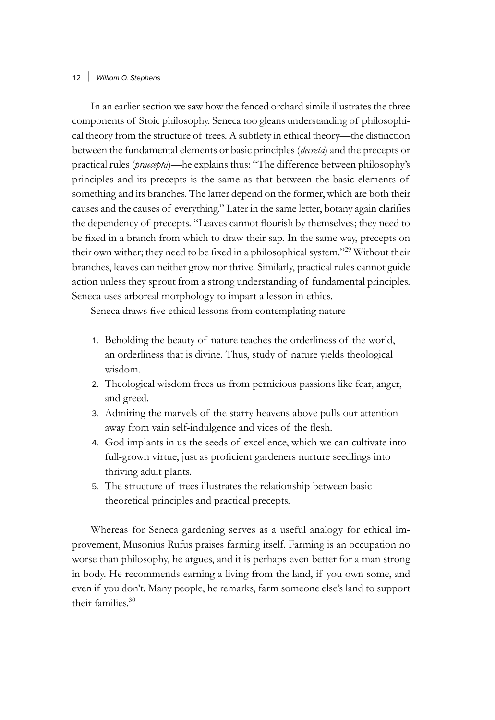In an earlier section we saw how the fenced orchard simile illustrates the three components of Stoic philosophy. Seneca too gleans understanding of philosophical theory from the structure of trees. A subtlety in ethical theory—the distinction between the fundamental elements or basic principles (*decreta*) and the precepts or practical rules (*praecepta*)—he explains thus: "The difference between philosophy's principles and its precepts is the same as that between the basic elements of something and its branches. The latter depend on the former, which are both their causes and the causes of everything." Later in the same letter, botany again clarifies the dependency of precepts. "Leaves cannot flourish by themselves; they need to be fixed in a branch from which to draw their sap. In the same way, precepts on their own wither; they need to be fixed in a philosophical system."29 Without their branches, leaves can neither grow nor thrive. Similarly, practical rules cannot guide action unless they sprout from a strong understanding of fundamental principles. Seneca uses arboreal morphology to impart a lesson in ethics.

Seneca draws five ethical lessons from contemplating nature

- 1. Beholding the beauty of nature teaches the orderliness of the world, an orderliness that is divine. Thus, study of nature yields theological wisdom.
- 2. Theological wisdom frees us from pernicious passions like fear, anger, and greed.
- 3. Admiring the marvels of the starry heavens above pulls our attention away from vain self-indulgence and vices of the flesh.
- 4. God implants in us the seeds of excellence, which we can cultivate into full-grown virtue, just as proficient gardeners nurture seedlings into thriving adult plants.
- 5. The structure of trees illustrates the relationship between basic theoretical principles and practical precepts.

Whereas for Seneca gardening serves as a useful analogy for ethical improvement, Musonius Rufus praises farming itself. Farming is an occupation no worse than philosophy, he argues, and it is perhaps even better for a man strong in body. He recommends earning a living from the land, if you own some, and even if you don't. Many people, he remarks, farm someone else's land to support their families.<sup>30</sup>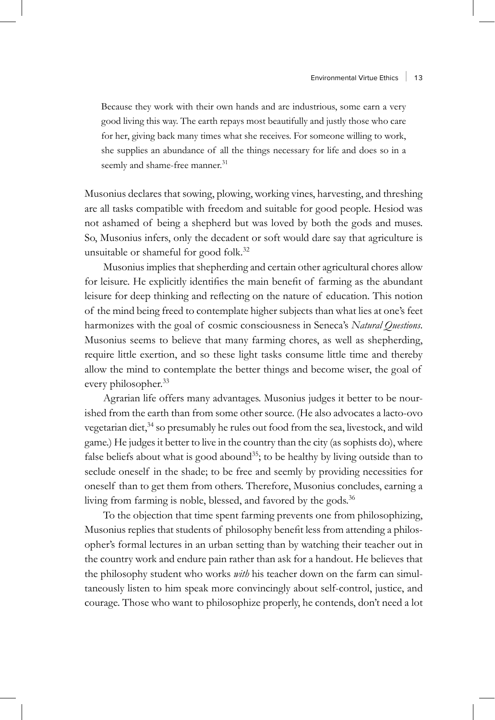Because they work with their own hands and are industrious, some earn a very good living this way. The earth repays most beautifully and justly those who care for her, giving back many times what she receives. For someone willing to work, she supplies an abundance of all the things necessary for life and does so in a seemly and shame-free manner.<sup>31</sup>

Musonius declares that sowing, plowing, working vines, harvesting, and threshing are all tasks compatible with freedom and suitable for good people. Hesiod was not ashamed of being a shepherd but was loved by both the gods and muses. So, Musonius infers, only the decadent or soft would dare say that agriculture is unsuitable or shameful for good folk.<sup>32</sup>

Musonius implies that shepherding and certain other agricultural chores allow for leisure. He explicitly identifies the main benefit of farming as the abundant leisure for deep thinking and reflecting on the nature of education. This notion of the mind being freed to contemplate higher subjects than what lies at one's feet harmonizes with the goal of cosmic consciousness in Seneca's *Natural Questions*. Musonius seems to believe that many farming chores, as well as shepherding, require little exertion, and so these light tasks consume little time and thereby allow the mind to contemplate the better things and become wiser, the goal of every philosopher.<sup>33</sup>

Agrarian life offers many advantages. Musonius judges it better to be nourished from the earth than from some other source. (He also advocates a lacto-ovo vegetarian diet,<sup>34</sup> so presumably he rules out food from the sea, livestock, and wild game.) He judges it better to live in the country than the city (as sophists do), where false beliefs about what is good abound<sup>35</sup>; to be healthy by living outside than to seclude oneself in the shade; to be free and seemly by providing necessities for oneself than to get them from others. Therefore, Musonius concludes, earning a living from farming is noble, blessed, and favored by the gods.<sup>36</sup>

To the objection that time spent farming prevents one from philosophizing, Musonius replies that students of philosophy benefit less from attending a philosopher's formal lectures in an urban setting than by watching their teacher out in the country work and endure pain rather than ask for a handout. He believes that the philosophy student who works *with* his teacher down on the farm can simultaneously listen to him speak more convincingly about self-control, justice, and courage. Those who want to philosophize properly, he contends, don't need a lot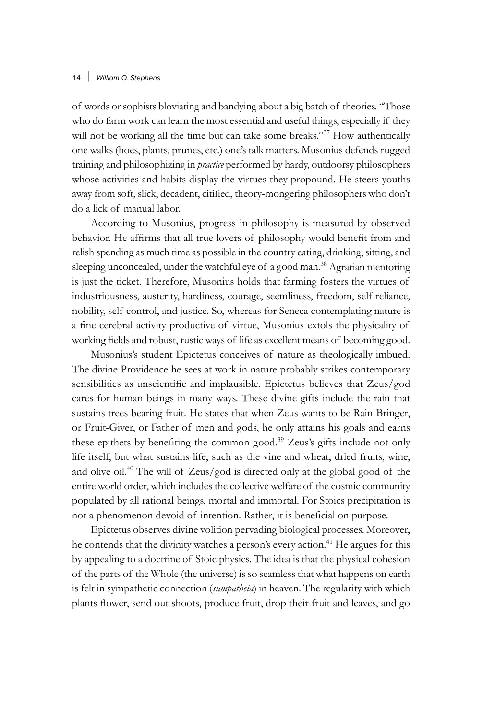of words or sophists bloviating and bandying about a big batch of theories. "Those who do farm work can learn the most essential and useful things, especially if they will not be working all the time but can take some breaks."<sup>37</sup> How authentically one walks (hoes, plants, prunes, etc.) one's talk matters. Musonius defends rugged training and philosophizing in *practice* performed by hardy, outdoorsy philosophers whose activities and habits display the virtues they propound. He steers youths away from soft, slick, decadent, citified, theory-mongering philosophers who don't do a lick of manual labor.

According to Musonius, progress in philosophy is measured by observed behavior. He affirms that all true lovers of philosophy would benefit from and relish spending as much time as possible in the country eating, drinking, sitting, and sleeping unconcealed, under the watchful eye of a good man.<sup>38</sup> Agrarian mentoring is just the ticket. Therefore, Musonius holds that farming fosters the virtues of industriousness, austerity, hardiness, courage, seemliness, freedom, self-reliance, nobility, self-control, and justice. So, whereas for Seneca contemplating nature is a fine cerebral activity productive of virtue, Musonius extols the physicality of working fields and robust, rustic ways of life as excellent means of becoming good.

Musonius's student Epictetus conceives of nature as theologically imbued. The divine Providence he sees at work in nature probably strikes contemporary sensibilities as unscientific and implausible. Epictetus believes that Zeus/god cares for human beings in many ways. These divine gifts include the rain that sustains trees bearing fruit. He states that when Zeus wants to be Rain-Bringer, or Fruit-Giver, or Father of men and gods, he only attains his goals and earns these epithets by benefiting the common good.<sup>39</sup> Zeus's gifts include not only life itself, but what sustains life, such as the vine and wheat, dried fruits, wine, and olive oil.40 The will of Zeus/god is directed only at the global good of the entire world order, which includes the collective welfare of the cosmic community populated by all rational beings, mortal and immortal. For Stoics precipitation is not a phenomenon devoid of intention. Rather, it is beneficial on purpose.

Epictetus observes divine volition pervading biological processes. Moreover, he contends that the divinity watches a person's every action.<sup>41</sup> He argues for this by appealing to a doctrine of Stoic physics. The idea is that the physical cohesion of the parts of the Whole (the universe) is so seamless that what happens on earth is felt in sympathetic connection (*sumpatheia*) in heaven. The regularity with which plants flower, send out shoots, produce fruit, drop their fruit and leaves, and go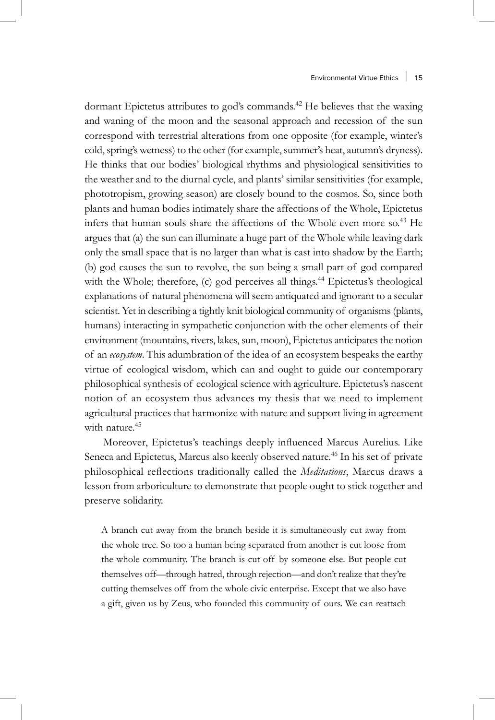dormant Epictetus attributes to god's commands.<sup>42</sup> He believes that the waxing and waning of the moon and the seasonal approach and recession of the sun correspond with terrestrial alterations from one opposite (for example, winter's cold, spring's wetness) to the other (for example, summer's heat, autumn's dryness). He thinks that our bodies' biological rhythms and physiological sensitivities to the weather and to the diurnal cycle, and plants' similar sensitivities (for example, phototropism, growing season) are closely bound to the cosmos. So, since both plants and human bodies intimately share the affections of the Whole, Epictetus infers that human souls share the affections of the Whole even more so.43 He argues that (a) the sun can illuminate a huge part of the Whole while leaving dark only the small space that is no larger than what is cast into shadow by the Earth; (b) god causes the sun to revolve, the sun being a small part of god compared with the Whole; therefore, (c) god perceives all things.<sup>44</sup> Epictetus's theological explanations of natural phenomena will seem antiquated and ignorant to a secular scientist. Yet in describing a tightly knit biological community of organisms (plants, humans) interacting in sympathetic conjunction with the other elements of their environment (mountains, rivers, lakes, sun, moon), Epictetus anticipates the notion of an *ecosystem*. This adumbration of the idea of an ecosystem bespeaks the earthy virtue of ecological wisdom, which can and ought to guide our contemporary philosophical synthesis of ecological science with agriculture. Epictetus's nascent notion of an ecosystem thus advances my thesis that we need to implement agricultural practices that harmonize with nature and support living in agreement with nature.<sup>45</sup>

Moreover, Epictetus's teachings deeply influenced Marcus Aurelius. Like Seneca and Epictetus, Marcus also keenly observed nature.<sup>46</sup> In his set of private philosophical reflections traditionally called the *Meditations*, Marcus draws a lesson from arboriculture to demonstrate that people ought to stick together and preserve solidarity.

A branch cut away from the branch beside it is simultaneously cut away from the whole tree. So too a human being separated from another is cut loose from the whole community. The branch is cut off by someone else. But people cut themselves off—through hatred, through rejection—and don't realize that they're cutting themselves off from the whole civic enterprise. Except that we also have a gift, given us by Zeus, who founded this community of ours. We can reattach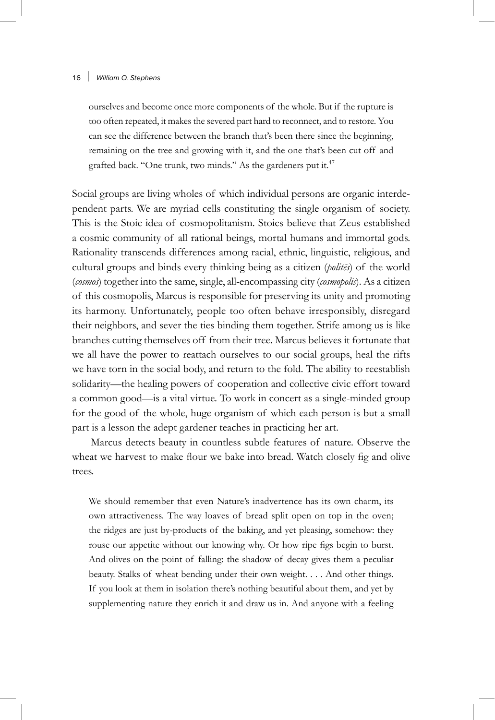ourselves and become once more components of the whole. But if the rupture is too often repeated, it makes the severed part hard to reconnect, and to restore. You can see the difference between the branch that's been there since the beginning, remaining on the tree and growing with it, and the one that's been cut off and grafted back. "One trunk, two minds." As the gardeners put it.<sup>47</sup>

Social groups are living wholes of which individual persons are organic interdependent parts. We are myriad cells constituting the single organism of society. This is the Stoic idea of cosmopolitanism. Stoics believe that Zeus established a cosmic community of all rational beings, mortal humans and immortal gods. Rationality transcends differences among racial, ethnic, linguistic, religious, and cultural groups and binds every thinking being as a citizen (*politēs*) of the world (*cosmos*) together into the same, single, all-encompassing city (*cosmopolis*). As a citizen of this cosmopolis, Marcus is responsible for preserving its unity and promoting its harmony. Unfortunately, people too often behave irresponsibly, disregard their neighbors, and sever the ties binding them together. Strife among us is like branches cutting themselves off from their tree. Marcus believes it fortunate that we all have the power to reattach ourselves to our social groups, heal the rifts we have torn in the social body, and return to the fold. The ability to reestablish solidarity—the healing powers of cooperation and collective civic effort toward a common good—is a vital virtue. To work in concert as a single-minded group for the good of the whole, huge organism of which each person is but a small part is a lesson the adept gardener teaches in practicing her art.

Marcus detects beauty in countless subtle features of nature. Observe the wheat we harvest to make flour we bake into bread. Watch closely fig and olive trees.

We should remember that even Nature's inadvertence has its own charm, its own attractiveness. The way loaves of bread split open on top in the oven; the ridges are just by-products of the baking, and yet pleasing, somehow: they rouse our appetite without our knowing why. Or how ripe figs begin to burst. And olives on the point of falling: the shadow of decay gives them a peculiar beauty. Stalks of wheat bending under their own weight. . . . And other things. If you look at them in isolation there's nothing beautiful about them, and yet by supplementing nature they enrich it and draw us in. And anyone with a feeling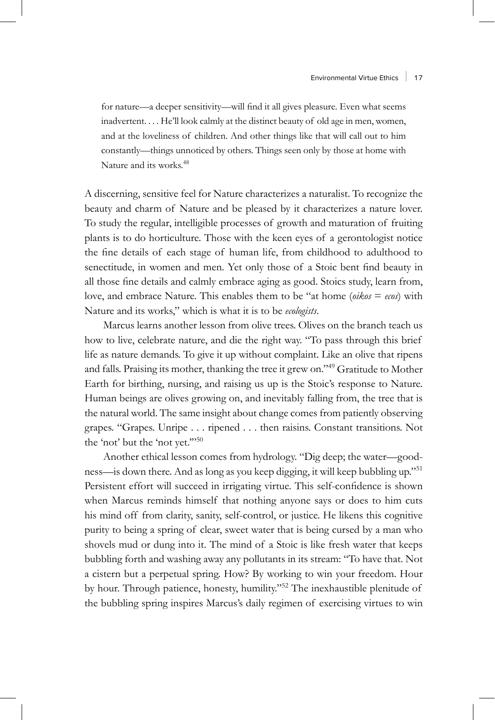for nature—a deeper sensitivity—will find it all gives pleasure. Even what seems inadvertent. . . . He'll look calmly at the distinct beauty of old age in men, women, and at the loveliness of children. And other things like that will call out to him constantly—things unnoticed by others. Things seen only by those at home with Nature and its works.<sup>48</sup>

A discerning, sensitive feel for Nature characterizes a naturalist. To recognize the beauty and charm of Nature and be pleased by it characterizes a nature lover. To study the regular, intelligible processes of growth and maturation of fruiting plants is to do horticulture. Those with the keen eyes of a gerontologist notice the fine details of each stage of human life, from childhood to adulthood to senectitude, in women and men. Yet only those of a Stoic bent find beauty in all those fine details and calmly embrace aging as good. Stoics study, learn from, love, and embrace Nature. This enables them to be "at home (*oikos* = *ecos*) with Nature and its works," which is what it is to be *ecologists*.

Marcus learns another lesson from olive trees. Olives on the branch teach us how to live, celebrate nature, and die the right way. "To pass through this brief life as nature demands. To give it up without complaint. Like an olive that ripens and falls. Praising its mother, thanking the tree it grew on."49 Gratitude to Mother Earth for birthing, nursing, and raising us up is the Stoic's response to Nature. Human beings are olives growing on, and inevitably falling from, the tree that is the natural world. The same insight about change comes from patiently observing grapes. "Grapes. Unripe . . . ripened . . . then raisins. Constant transitions. Not the 'not' but the 'not yet."'50

Another ethical lesson comes from hydrology. "Dig deep; the water—goodness—is down there. And as long as you keep digging, it will keep bubbling up."<sup>51</sup> Persistent effort will succeed in irrigating virtue. This self-confidence is shown when Marcus reminds himself that nothing anyone says or does to him cuts his mind off from clarity, sanity, self-control, or justice. He likens this cognitive purity to being a spring of clear, sweet water that is being cursed by a man who shovels mud or dung into it. The mind of a Stoic is like fresh water that keeps bubbling forth and washing away any pollutants in its stream: "To have that. Not a cistern but a perpetual spring. How? By working to win your freedom. Hour by hour. Through patience, honesty, humility."52 The inexhaustible plenitude of the bubbling spring inspires Marcus's daily regimen of exercising virtues to win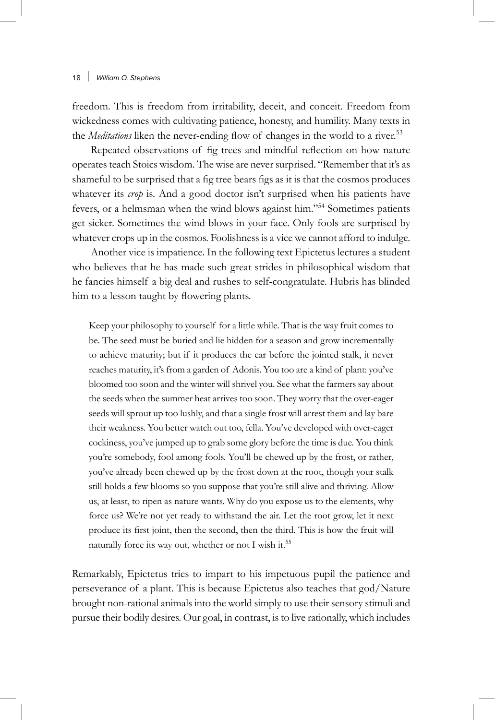freedom. This is freedom from irritability, deceit, and conceit. Freedom from wickedness comes with cultivating patience, honesty, and humility. Many texts in the *Meditations* liken the never-ending flow of changes in the world to a river.<sup>53</sup>

Repeated observations of fig trees and mindful reflection on how nature operates teach Stoics wisdom. The wise are never surprised. "Remember that it's as shameful to be surprised that a fig tree bears figs as it is that the cosmos produces whatever its *crop* is. And a good doctor isn't surprised when his patients have fevers, or a helmsman when the wind blows against him."54 Sometimes patients get sicker. Sometimes the wind blows in your face. Only fools are surprised by whatever crops up in the cosmos. Foolishness is a vice we cannot afford to indulge.

Another vice is impatience. In the following text Epictetus lectures a student who believes that he has made such great strides in philosophical wisdom that he fancies himself a big deal and rushes to self-congratulate. Hubris has blinded him to a lesson taught by flowering plants.

Keep your philosophy to yourself for a little while. That is the way fruit comes to be. The seed must be buried and lie hidden for a season and grow incrementally to achieve maturity; but if it produces the ear before the jointed stalk, it never reaches maturity, it's from a garden of Adonis. You too are a kind of plant: you've bloomed too soon and the winter will shrivel you. See what the farmers say about the seeds when the summer heat arrives too soon. They worry that the over-eager seeds will sprout up too lushly, and that a single frost will arrest them and lay bare their weakness. You better watch out too, fella. You've developed with over-eager cockiness, you've jumped up to grab some glory before the time is due. You think you're somebody, fool among fools. You'll be chewed up by the frost, or rather, you've already been chewed up by the frost down at the root, though your stalk still holds a few blooms so you suppose that you're still alive and thriving. Allow us, at least, to ripen as nature wants. Why do you expose us to the elements, why force us? We're not yet ready to withstand the air. Let the root grow, let it next produce its first joint, then the second, then the third. This is how the fruit will naturally force its way out, whether or not I wish it.<sup>55</sup>

Remarkably, Epictetus tries to impart to his impetuous pupil the patience and perseverance of a plant. This is because Epictetus also teaches that god/Nature brought non-rational animals into the world simply to use their sensory stimuli and pursue their bodily desires. Our goal, in contrast, is to live rationally, which includes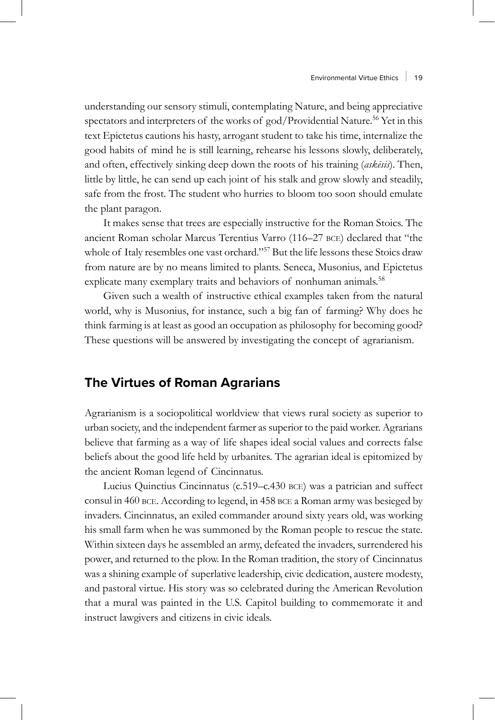understanding our sensory stimuli, contemplating Nature, and being appreciative spectators and interpreters of the works of god/Providential Nature.<sup>56</sup> Yet in this text Epictetus cautions his hasty, arrogant student to take his time, internalize the good habits of mind he is still learning, rehearse his lessons slowly, deliberately, and often, effectively sinking deep down the roots of his training (*askēsis*). Then, little by little, he can send up each joint of his stalk and grow slowly and steadily, safe from the frost. The student who hurries to bloom too soon should emulate the plant paragon.

It makes sense that trees are especially instructive for the Roman Stoics. The ancient Roman scholar Marcus Terentius Varro (116–27 bce) declared that "the whole of Italy resembles one vast orchard."<sup>57</sup> But the life lessons these Stoics draw from nature are by no means limited to plants. Seneca, Musonius, and Epictetus explicate many exemplary traits and behaviors of nonhuman animals.<sup>58</sup>

Given such a wealth of instructive ethical examples taken from the natural world, why is Musonius, for instance, such a big fan of farming? Why does he think farming is at least as good an occupation as philosophy for becoming good? These questions will be answered by investigating the concept of agrarianism.

# **The Virtues of Roman Agrarians**

Agrarianism is a sociopolitical worldview that views rural society as superior to urban society, and the independent farmer as superior to the paid worker. Agrarians believe that farming as a way of life shapes ideal social values and corrects false beliefs about the good life held by urbanites. The agrarian ideal is epitomized by the ancient Roman legend of Cincinnatus.

Lucius Quinctius Cincinnatus (c.519–c.430 bce) was a patrician and suffect consul in 460 bce. According to legend, in 458 bce a Roman army was besieged by invaders. Cincinnatus, an exiled commander around sixty years old, was working his small farm when he was summoned by the Roman people to rescue the state. Within sixteen days he assembled an army, defeated the invaders, surrendered his power, and returned to the plow. In the Roman tradition, the story of Cincinnatus was a shining example of superlative leadership, civic dedication, austere modesty, and pastoral virtue. His story was so celebrated during the American Revolution that a mural was painted in the U.S. Capitol building to commemorate it and instruct lawgivers and citizens in civic ideals.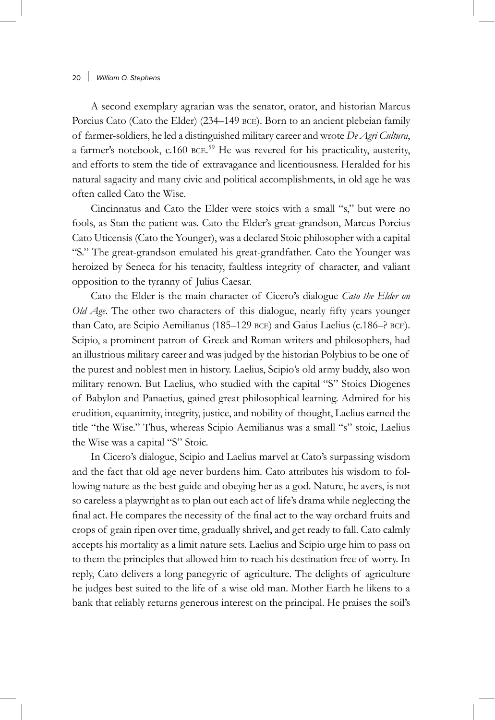A second exemplary agrarian was the senator, orator, and historian Marcus Porcius Cato (Cato the Elder) (234–149 BCE). Born to an ancient plebeian family of farmer-soldiers, he led a distinguished military career and wrote *De Agri Cultura*, a farmer's notebook, c.160 BCE.<sup>59</sup> He was revered for his practicality, austerity, and efforts to stem the tide of extravagance and licentiousness. Heralded for his natural sagacity and many civic and political accomplishments, in old age he was often called Cato the Wise.

Cincinnatus and Cato the Elder were stoics with a small "s," but were no fools, as Stan the patient was. Cato the Elder's great-grandson, Marcus Porcius Cato Uticensis (Cato the Younger), was a declared Stoic philosopher with a capital "S." The great-grandson emulated his great-grandfather. Cato the Younger was heroized by Seneca for his tenacity, faultless integrity of character, and valiant opposition to the tyranny of Julius Caesar.

Cato the Elder is the main character of Cicero's dialogue *Cato the Elder on Old Age*. The other two characters of this dialogue, nearly fifty years younger than Cato, are Scipio Aemilianus (185–129 bce) and Gaius Laelius (c.186–? bce). Scipio, a prominent patron of Greek and Roman writers and philosophers, had an illustrious military career and was judged by the historian Polybius to be one of the purest and noblest men in history. Laelius, Scipio's old army buddy, also won military renown. But Laelius, who studied with the capital "S" Stoics Diogenes of Babylon and Panaetius, gained great philosophical learning. Admired for his erudition, equanimity, integrity, justice, and nobility of thought, Laelius earned the title "the Wise." Thus, whereas Scipio Aemilianus was a small "s" stoic, Laelius the Wise was a capital "S" Stoic.

In Cicero's dialogue, Scipio and Laelius marvel at Cato's surpassing wisdom and the fact that old age never burdens him. Cato attributes his wisdom to following nature as the best guide and obeying her as a god. Nature, he avers, is not so careless a playwright as to plan out each act of life's drama while neglecting the final act. He compares the necessity of the final act to the way orchard fruits and crops of grain ripen over time, gradually shrivel, and get ready to fall. Cato calmly accepts his mortality as a limit nature sets. Laelius and Scipio urge him to pass on to them the principles that allowed him to reach his destination free of worry. In reply, Cato delivers a long panegyric of agriculture. The delights of agriculture he judges best suited to the life of a wise old man. Mother Earth he likens to a bank that reliably returns generous interest on the principal. He praises the soil's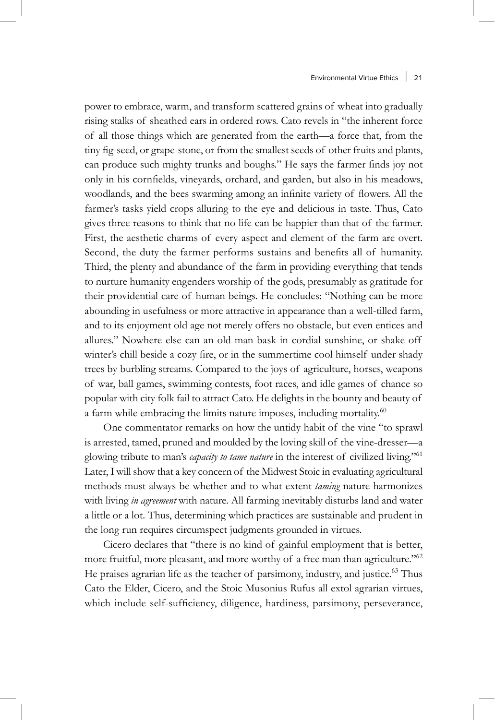power to embrace, warm, and transform scattered grains of wheat into gradually rising stalks of sheathed ears in ordered rows. Cato revels in "the inherent force of all those things which are generated from the earth—a force that, from the tiny fig-seed, or grape-stone, or from the smallest seeds of other fruits and plants, can produce such mighty trunks and boughs." He says the farmer finds joy not only in his cornfields, vineyards, orchard, and garden, but also in his meadows, woodlands, and the bees swarming among an infinite variety of flowers. All the farmer's tasks yield crops alluring to the eye and delicious in taste. Thus, Cato gives three reasons to think that no life can be happier than that of the farmer. First, the aesthetic charms of every aspect and element of the farm are overt. Second, the duty the farmer performs sustains and benefits all of humanity. Third, the plenty and abundance of the farm in providing everything that tends to nurture humanity engenders worship of the gods, presumably as gratitude for their providential care of human beings. He concludes: "Nothing can be more abounding in usefulness or more attractive in appearance than a well-tilled farm, and to its enjoyment old age not merely offers no obstacle, but even entices and allures." Nowhere else can an old man bask in cordial sunshine, or shake off winter's chill beside a cozy fire, or in the summertime cool himself under shady trees by burbling streams. Compared to the joys of agriculture, horses, weapons of war, ball games, swimming contests, foot races, and idle games of chance so popular with city folk fail to attract Cato. He delights in the bounty and beauty of a farm while embracing the limits nature imposes, including mortality.<sup>60</sup>

One commentator remarks on how the untidy habit of the vine "to sprawl is arrested, tamed, pruned and moulded by the loving skill of the vine-dresser—a glowing tribute to man's *capacity to tame nature* in the interest of civilized living."<sup>61</sup> Later, I will show that a key concern of the Midwest Stoic in evaluating agricultural methods must always be whether and to what extent *taming* nature harmonizes with living *in agreement* with nature. All farming inevitably disturbs land and water a little or a lot. Thus, determining which practices are sustainable and prudent in the long run requires circumspect judgments grounded in virtues.

Cicero declares that "there is no kind of gainful employment that is better, more fruitful, more pleasant, and more worthy of a free man than agriculture."<sup>62</sup> He praises agrarian life as the teacher of parsimony, industry, and justice.<sup>63</sup> Thus Cato the Elder, Cicero, and the Stoic Musonius Rufus all extol agrarian virtues, which include self-sufficiency, diligence, hardiness, parsimony, perseverance,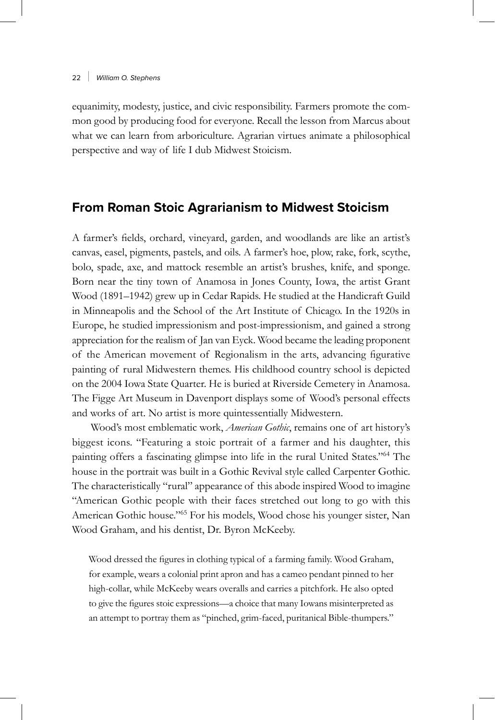equanimity, modesty, justice, and civic responsibility. Farmers promote the common good by producing food for everyone. Recall the lesson from Marcus about what we can learn from arboriculture. Agrarian virtues animate a philosophical perspective and way of life I dub Midwest Stoicism.

# **From Roman Stoic Agrarianism to Midwest Stoicism**

A farmer's fields, orchard, vineyard, garden, and woodlands are like an artist's canvas, easel, pigments, pastels, and oils. A farmer's hoe, plow, rake, fork, scythe, bolo, spade, axe, and mattock resemble an artist's brushes, knife, and sponge. Born near the tiny town of Anamosa in Jones County, Iowa, the artist Grant Wood (1891–1942) grew up in Cedar Rapids. He studied at the Handicraft Guild in Minneapolis and the School of the Art Institute of Chicago. In the 1920s in Europe, he studied impressionism and post-impressionism, and gained a strong appreciation for the realism of Jan van Eyck. Wood became the leading proponent of the American movement of Regionalism in the arts, advancing figurative painting of rural Midwestern themes. His childhood country school is depicted on the 2004 Iowa State Quarter. He is buried at Riverside Cemetery in Anamosa. The Figge Art Museum in Davenport displays some of Wood's personal effects and works of art. No artist is more quintessentially Midwestern.

Wood's most emblematic work, *American Gothic*, remains one of art history's biggest icons. "Featuring a stoic portrait of a farmer and his daughter, this painting offers a fascinating glimpse into life in the rural United States."64 The house in the portrait was built in a Gothic Revival style called Carpenter Gothic. The characteristically "rural" appearance of this abode inspired Wood to imagine "American Gothic people with their faces stretched out long to go with this American Gothic house."65 For his models, Wood chose his younger sister, Nan Wood Graham, and his dentist, Dr. Byron McKeeby.

Wood dressed the figures in clothing typical of a farming family. Wood Graham, for example, wears a colonial print apron and has a cameo pendant pinned to her high-collar, while McKeeby wears overalls and carries a pitchfork. He also opted to give the figures stoic expressions—a choice that many Iowans misinterpreted as an attempt to portray them as "pinched, grim-faced, puritanical Bible-thumpers."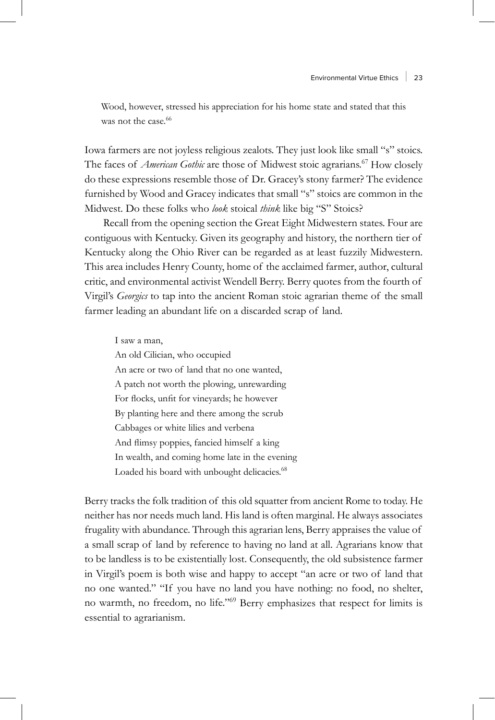Wood, however, stressed his appreciation for his home state and stated that this was not the case.<sup>66</sup>

Iowa farmers are not joyless religious zealots. They just look like small "s" stoics. The faces of *American Gothic* are those of Midwest stoic agrarians.<sup>67</sup> How closely do these expressions resemble those of Dr. Gracey's stony farmer? The evidence furnished by Wood and Gracey indicates that small "s" stoics are common in the Midwest. Do these folks who *look* stoical *think* like big "S" Stoics?

Recall from the opening section the Great Eight Midwestern states. Four are contiguous with Kentucky. Given its geography and history, the northern tier of Kentucky along the Ohio River can be regarded as at least fuzzily Midwestern. This area includes Henry County, home of the acclaimed farmer, author, cultural critic, and environmental activist Wendell Berry. Berry quotes from the fourth of Virgil's *Georgics* to tap into the ancient Roman stoic agrarian theme of the small farmer leading an abundant life on a discarded scrap of land.

I saw a man, An old Cilician, who occupied An acre or two of land that no one wanted, A patch not worth the plowing, unrewarding For flocks, unfit for vineyards; he however By planting here and there among the scrub Cabbages or white lilies and verbena And flimsy poppies, fancied himself a king In wealth, and coming home late in the evening Loaded his board with unbought delicacies.<sup>68</sup>

Berry tracks the folk tradition of this old squatter from ancient Rome to today. He neither has nor needs much land. His land is often marginal. He always associates frugality with abundance. Through this agrarian lens, Berry appraises the value of a small scrap of land by reference to having no land at all. Agrarians know that to be landless is to be existentially lost. Consequently, the old subsistence farmer in Virgil's poem is both wise and happy to accept "an acre or two of land that no one wanted." "If you have no land you have nothing: no food, no shelter, no warmth, no freedom, no life."69 Berry emphasizes that respect for limits is essential to agrarianism.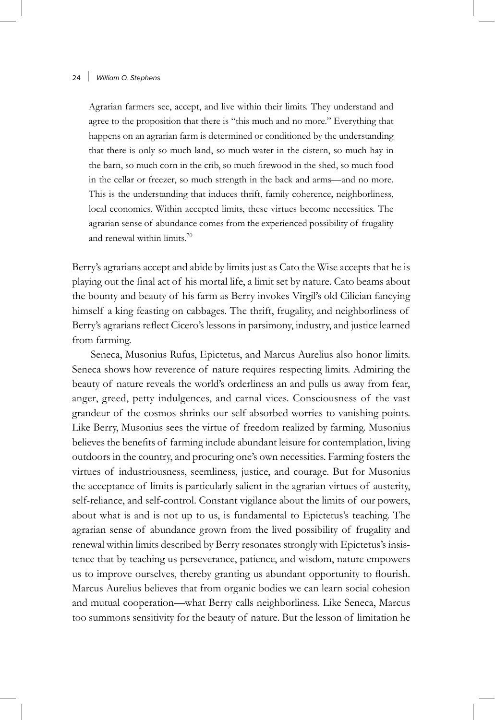Agrarian farmers see, accept, and live within their limits. They understand and agree to the proposition that there is "this much and no more." Everything that happens on an agrarian farm is determined or conditioned by the understanding that there is only so much land, so much water in the cistern, so much hay in the barn, so much corn in the crib, so much firewood in the shed, so much food in the cellar or freezer, so much strength in the back and arms—and no more. This is the understanding that induces thrift, family coherence, neighborliness, local economies. Within accepted limits, these virtues become necessities. The agrarian sense of abundance comes from the experienced possibility of frugality and renewal within limits.70

Berry's agrarians accept and abide by limits just as Cato the Wise accepts that he is playing out the final act of his mortal life, a limit set by nature. Cato beams about the bounty and beauty of his farm as Berry invokes Virgil's old Cilician fancying himself a king feasting on cabbages. The thrift, frugality, and neighborliness of Berry's agrarians reflect Cicero's lessons in parsimony, industry, and justice learned from farming.

Seneca, Musonius Rufus, Epictetus, and Marcus Aurelius also honor limits. Seneca shows how reverence of nature requires respecting limits. Admiring the beauty of nature reveals the world's orderliness an and pulls us away from fear, anger, greed, petty indulgences, and carnal vices. Consciousness of the vast grandeur of the cosmos shrinks our self-absorbed worries to vanishing points. Like Berry, Musonius sees the virtue of freedom realized by farming. Musonius believes the benefits of farming include abundant leisure for contemplation, living outdoors in the country, and procuring one's own necessities. Farming fosters the virtues of industriousness, seemliness, justice, and courage. But for Musonius the acceptance of limits is particularly salient in the agrarian virtues of austerity, self-reliance, and self-control. Constant vigilance about the limits of our powers, about what is and is not up to us, is fundamental to Epictetus's teaching. The agrarian sense of abundance grown from the lived possibility of frugality and renewal within limits described by Berry resonates strongly with Epictetus's insistence that by teaching us perseverance, patience, and wisdom, nature empowers us to improve ourselves, thereby granting us abundant opportunity to flourish. Marcus Aurelius believes that from organic bodies we can learn social cohesion and mutual cooperation—what Berry calls neighborliness. Like Seneca, Marcus too summons sensitivity for the beauty of nature. But the lesson of limitation he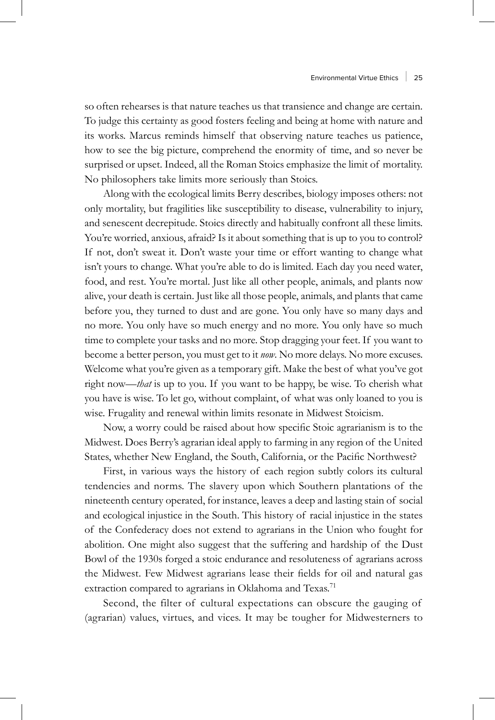so often rehearses is that nature teaches us that transience and change are certain. To judge this certainty as good fosters feeling and being at home with nature and its works. Marcus reminds himself that observing nature teaches us patience, how to see the big picture, comprehend the enormity of time, and so never be surprised or upset. Indeed, all the Roman Stoics emphasize the limit of mortality. No philosophers take limits more seriously than Stoics.

Along with the ecological limits Berry describes, biology imposes others: not only mortality, but fragilities like susceptibility to disease, vulnerability to injury, and senescent decrepitude. Stoics directly and habitually confront all these limits. You're worried, anxious, afraid? Is it about something that is up to you to control? If not, don't sweat it. Don't waste your time or effort wanting to change what isn't yours to change. What you're able to do is limited. Each day you need water, food, and rest. You're mortal. Just like all other people, animals, and plants now alive, your death is certain. Just like all those people, animals, and plants that came before you, they turned to dust and are gone. You only have so many days and no more. You only have so much energy and no more. You only have so much time to complete your tasks and no more. Stop dragging your feet. If you want to become a better person, you must get to it *now*. No more delays. No more excuses. Welcome what you're given as a temporary gift. Make the best of what you've got right now—*that* is up to you. If you want to be happy, be wise. To cherish what you have is wise. To let go, without complaint, of what was only loaned to you is wise. Frugality and renewal within limits resonate in Midwest Stoicism.

Now, a worry could be raised about how specific Stoic agrarianism is to the Midwest. Does Berry's agrarian ideal apply to farming in any region of the United States, whether New England, the South, California, or the Pacific Northwest?

First, in various ways the history of each region subtly colors its cultural tendencies and norms. The slavery upon which Southern plantations of the nineteenth century operated, for instance, leaves a deep and lasting stain of social and ecological injustice in the South. This history of racial injustice in the states of the Confederacy does not extend to agrarians in the Union who fought for abolition. One might also suggest that the suffering and hardship of the Dust Bowl of the 1930s forged a stoic endurance and resoluteness of agrarians across the Midwest. Few Midwest agrarians lease their fields for oil and natural gas extraction compared to agrarians in Oklahoma and Texas.<sup>71</sup>

Second, the filter of cultural expectations can obscure the gauging of (agrarian) values, virtues, and vices. It may be tougher for Midwesterners to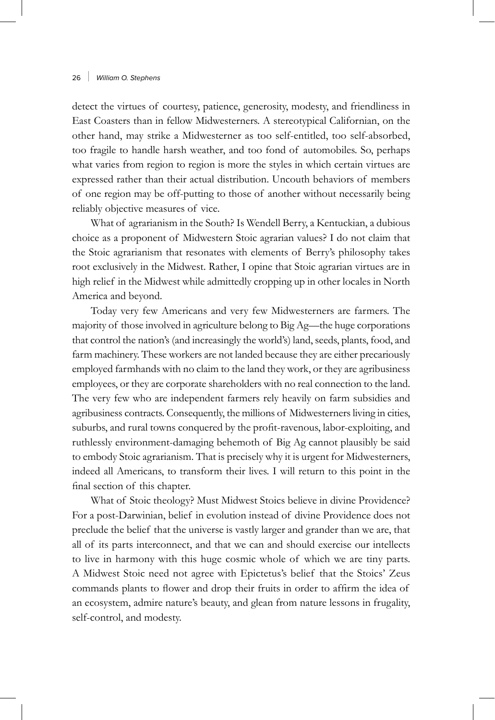detect the virtues of courtesy, patience, generosity, modesty, and friendliness in East Coasters than in fellow Midwesterners. A stereotypical Californian, on the other hand, may strike a Midwesterner as too self-entitled, too self-absorbed, too fragile to handle harsh weather, and too fond of automobiles. So, perhaps what varies from region to region is more the styles in which certain virtues are expressed rather than their actual distribution. Uncouth behaviors of members of one region may be off-putting to those of another without necessarily being reliably objective measures of vice.

What of agrarianism in the South? Is Wendell Berry, a Kentuckian, a dubious choice as a proponent of Midwestern Stoic agrarian values? I do not claim that the Stoic agrarianism that resonates with elements of Berry's philosophy takes root exclusively in the Midwest. Rather, I opine that Stoic agrarian virtues are in high relief in the Midwest while admittedly cropping up in other locales in North America and beyond.

Today very few Americans and very few Midwesterners are farmers. The majority of those involved in agriculture belong to Big Ag—the huge corporations that control the nation's (and increasingly the world's) land, seeds, plants, food, and farm machinery. These workers are not landed because they are either precariously employed farmhands with no claim to the land they work, or they are agribusiness employees, or they are corporate shareholders with no real connection to the land. The very few who are independent farmers rely heavily on farm subsidies and agribusiness contracts. Consequently, the millions of Midwesterners living in cities, suburbs, and rural towns conquered by the profit-ravenous, labor-exploiting, and ruthlessly environment-damaging behemoth of Big Ag cannot plausibly be said to embody Stoic agrarianism. That is precisely why it is urgent for Midwesterners, indeed all Americans, to transform their lives. I will return to this point in the final section of this chapter.

What of Stoic theology? Must Midwest Stoics believe in divine Providence? For a post-Darwinian, belief in evolution instead of divine Providence does not preclude the belief that the universe is vastly larger and grander than we are, that all of its parts interconnect, and that we can and should exercise our intellects to live in harmony with this huge cosmic whole of which we are tiny parts. A Midwest Stoic need not agree with Epictetus's belief that the Stoics' Zeus commands plants to flower and drop their fruits in order to affirm the idea of an ecosystem, admire nature's beauty, and glean from nature lessons in frugality, self-control, and modesty.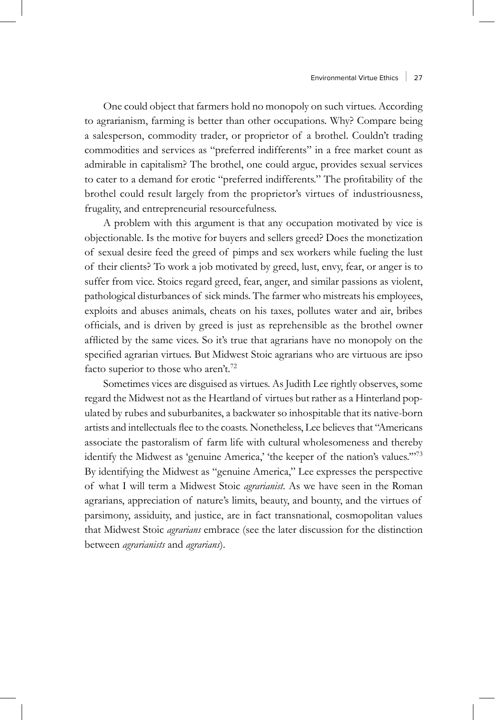One could object that farmers hold no monopoly on such virtues. According to agrarianism, farming is better than other occupations. Why? Compare being a salesperson, commodity trader, or proprietor of a brothel. Couldn't trading commodities and services as "preferred indifferents" in a free market count as admirable in capitalism? The brothel, one could argue, provides sexual services to cater to a demand for erotic "preferred indifferents." The profitability of the brothel could result largely from the proprietor's virtues of industriousness, frugality, and entrepreneurial resourcefulness.

A problem with this argument is that any occupation motivated by vice is objectionable. Is the motive for buyers and sellers greed? Does the monetization of sexual desire feed the greed of pimps and sex workers while fueling the lust of their clients? To work a job motivated by greed, lust, envy, fear, or anger is to suffer from vice. Stoics regard greed, fear, anger, and similar passions as violent, pathological disturbances of sick minds. The farmer who mistreats his employees, exploits and abuses animals, cheats on his taxes, pollutes water and air, bribes officials, and is driven by greed is just as reprehensible as the brothel owner afflicted by the same vices. So it's true that agrarians have no monopoly on the specified agrarian virtues. But Midwest Stoic agrarians who are virtuous are ipso facto superior to those who aren't.<sup>72</sup>

Sometimes vices are disguised as virtues. As Judith Lee rightly observes, some regard the Midwest not as the Heartland of virtues but rather as a Hinterland populated by rubes and suburbanites, a backwater so inhospitable that its native-born artists and intellectuals flee to the coasts. Nonetheless, Lee believes that "Americans associate the pastoralism of farm life with cultural wholesomeness and thereby identify the Midwest as 'genuine America,' 'the keeper of the nation's values."<sup>73</sup> By identifying the Midwest as "genuine America," Lee expresses the perspective of what I will term a Midwest Stoic *agrarianist*. As we have seen in the Roman agrarians, appreciation of nature's limits, beauty, and bounty, and the virtues of parsimony, assiduity, and justice, are in fact transnational, cosmopolitan values that Midwest Stoic *agrarians* embrace (see the later discussion for the distinction between *agrarianists* and *agrarians*).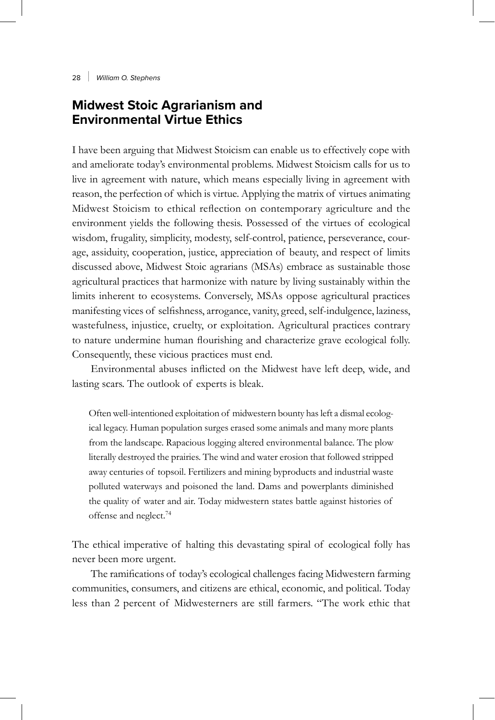# **Midwest Stoic Agrarianism and Environmental Virtue Ethics**

I have been arguing that Midwest Stoicism can enable us to effectively cope with and ameliorate today's environmental problems. Midwest Stoicism calls for us to live in agreement with nature, which means especially living in agreement with reason, the perfection of which is virtue. Applying the matrix of virtues animating Midwest Stoicism to ethical reflection on contemporary agriculture and the environment yields the following thesis. Possessed of the virtues of ecological wisdom, frugality, simplicity, modesty, self-control, patience, perseverance, courage, assiduity, cooperation, justice, appreciation of beauty, and respect of limits discussed above, Midwest Stoic agrarians (MSAs) embrace as sustainable those agricultural practices that harmonize with nature by living sustainably within the limits inherent to ecosystems. Conversely, MSAs oppose agricultural practices manifesting vices of selfishness, arrogance, vanity, greed, self-indulgence, laziness, wastefulness, injustice, cruelty, or exploitation. Agricultural practices contrary to nature undermine human flourishing and characterize grave ecological folly. Consequently, these vicious practices must end.

Environmental abuses inflicted on the Midwest have left deep, wide, and lasting scars. The outlook of experts is bleak.

Often well-intentioned exploitation of midwestern bounty has left a dismal ecological legacy. Human population surges erased some animals and many more plants from the landscape. Rapacious logging altered environmental balance. The plow literally destroyed the prairies. The wind and water erosion that followed stripped away centuries of topsoil. Fertilizers and mining byproducts and industrial waste polluted waterways and poisoned the land. Dams and powerplants diminished the quality of water and air. Today midwestern states battle against histories of offense and neglect.74

The ethical imperative of halting this devastating spiral of ecological folly has never been more urgent.

The ramifications of today's ecological challenges facing Midwestern farming communities, consumers, and citizens are ethical, economic, and political. Today less than 2 percent of Midwesterners are still farmers. "The work ethic that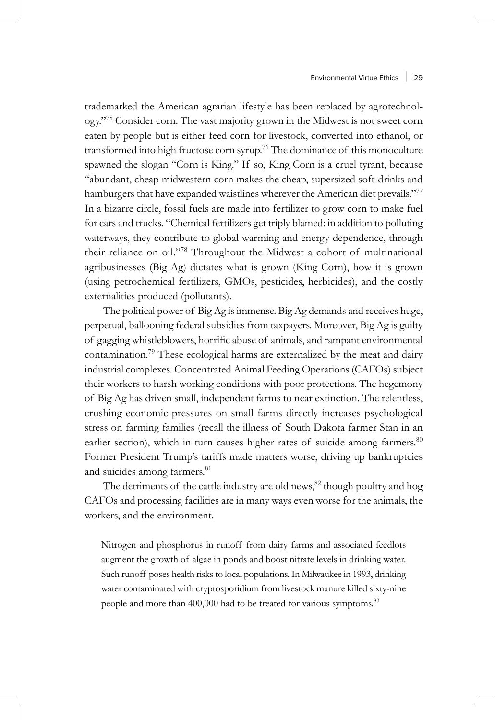trademarked the American agrarian lifestyle has been replaced by agrotechnology."75 Consider corn. The vast majority grown in the Midwest is not sweet corn eaten by people but is either feed corn for livestock, converted into ethanol, or transformed into high fructose corn syrup.<sup>76</sup> The dominance of this monoculture spawned the slogan "Corn is King." If so, King Corn is a cruel tyrant, because "abundant, cheap midwestern corn makes the cheap, supersized soft-drinks and hamburgers that have expanded waistlines wherever the American diet prevails."<sup>77</sup> In a bizarre circle, fossil fuels are made into fertilizer to grow corn to make fuel for cars and trucks. "Chemical fertilizers get triply blamed: in addition to polluting waterways, they contribute to global warming and energy dependence, through their reliance on oil."78 Throughout the Midwest a cohort of multinational agribusinesses (Big Ag) dictates what is grown (King Corn), how it is grown (using petrochemical fertilizers, GMOs, pesticides, herbicides), and the costly externalities produced (pollutants).

The political power of Big Ag is immense. Big Ag demands and receives huge, perpetual, ballooning federal subsidies from taxpayers. Moreover, Big Ag is guilty of gagging whistleblowers, horrific abuse of animals, and rampant environmental contamination.79 These ecological harms are externalized by the meat and dairy industrial complexes. Concentrated Animal Feeding Operations (CAFOs) subject their workers to harsh working conditions with poor protections. The hegemony of Big Ag has driven small, independent farms to near extinction. The relentless, crushing economic pressures on small farms directly increases psychological stress on farming families (recall the illness of South Dakota farmer Stan in an earlier section), which in turn causes higher rates of suicide among farmers.<sup>80</sup> Former President Trump's tariffs made matters worse, driving up bankruptcies and suicides among farmers.<sup>81</sup>

The detriments of the cattle industry are old news, $82$  though poultry and hog CAFOs and processing facilities are in many ways even worse for the animals, the workers, and the environment.

Nitrogen and phosphorus in runoff from dairy farms and associated feedlots augment the growth of algae in ponds and boost nitrate levels in drinking water. Such runoff poses health risks to local populations. In Milwaukee in 1993, drinking water contaminated with cryptosporidium from livestock manure killed sixty-nine people and more than 400,000 had to be treated for various symptoms.<sup>83</sup>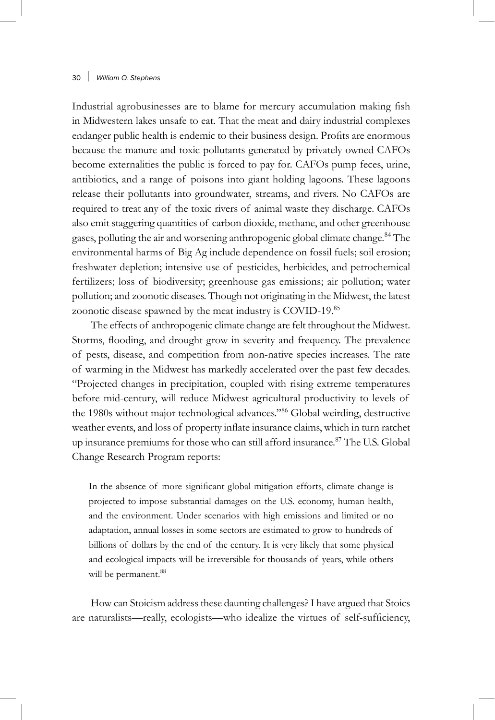Industrial agrobusinesses are to blame for mercury accumulation making fish in Midwestern lakes unsafe to eat. That the meat and dairy industrial complexes endanger public health is endemic to their business design. Profits are enormous because the manure and toxic pollutants generated by privately owned CAFOs become externalities the public is forced to pay for. CAFOs pump feces, urine, antibiotics, and a range of poisons into giant holding lagoons. These lagoons release their pollutants into groundwater, streams, and rivers. No CAFOs are required to treat any of the toxic rivers of animal waste they discharge. CAFOs also emit staggering quantities of carbon dioxide, methane, and other greenhouse gases, polluting the air and worsening anthropogenic global climate change.<sup>84</sup> The environmental harms of Big Ag include dependence on fossil fuels; soil erosion; freshwater depletion; intensive use of pesticides, herbicides, and petrochemical fertilizers; loss of biodiversity; greenhouse gas emissions; air pollution; water pollution; and zoonotic diseases. Though not originating in the Midwest, the latest zoonotic disease spawned by the meat industry is COVID-19.<sup>85</sup>

The effects of anthropogenic climate change are felt throughout the Midwest. Storms, flooding, and drought grow in severity and frequency. The prevalence of pests, disease, and competition from non-native species increases. The rate of warming in the Midwest has markedly accelerated over the past few decades. "Projected changes in precipitation, coupled with rising extreme temperatures before mid-century, will reduce Midwest agricultural productivity to levels of the 1980s without major technological advances."86 Global weirding, destructive weather events, and loss of property inflate insurance claims, which in turn ratchet up insurance premiums for those who can still afford insurance.<sup>87</sup> The U.S. Global Change Research Program reports:

In the absence of more significant global mitigation efforts, climate change is projected to impose substantial damages on the U.S. economy, human health, and the environment. Under scenarios with high emissions and limited or no adaptation, annual losses in some sectors are estimated to grow to hundreds of billions of dollars by the end of the century. It is very likely that some physical and ecological impacts will be irreversible for thousands of years, while others will be permanent.<sup>88</sup>

How can Stoicism address these daunting challenges? I have argued that Stoics are naturalists—really, ecologists—who idealize the virtues of self-sufficiency,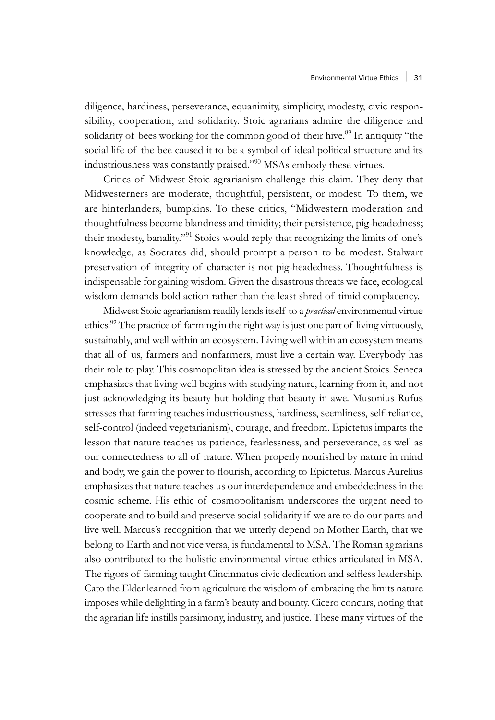diligence, hardiness, perseverance, equanimity, simplicity, modesty, civic responsibility, cooperation, and solidarity. Stoic agrarians admire the diligence and solidarity of bees working for the common good of their hive.<sup>89</sup> In antiquity "the social life of the bee caused it to be a symbol of ideal political structure and its industriousness was constantly praised."90 MSAs embody these virtues.

Critics of Midwest Stoic agrarianism challenge this claim. They deny that Midwesterners are moderate, thoughtful, persistent, or modest. To them, we are hinterlanders, bumpkins. To these critics, "Midwestern moderation and thoughtfulness become blandness and timidity; their persistence, pig-headedness; their modesty, banality."91 Stoics would reply that recognizing the limits of one's knowledge, as Socrates did, should prompt a person to be modest. Stalwart preservation of integrity of character is not pig-headedness. Thoughtfulness is indispensable for gaining wisdom. Given the disastrous threats we face, ecological wisdom demands bold action rather than the least shred of timid complacency.

Midwest Stoic agrarianism readily lends itself to a *practical* environmental virtue ethics.92 The practice of farming in the right way is just one part of living virtuously, sustainably, and well within an ecosystem. Living well within an ecosystem means that all of us, farmers and nonfarmers, must live a certain way. Everybody has their role to play. This cosmopolitan idea is stressed by the ancient Stoics. Seneca emphasizes that living well begins with studying nature, learning from it, and not just acknowledging its beauty but holding that beauty in awe. Musonius Rufus stresses that farming teaches industriousness, hardiness, seemliness, self-reliance, self-control (indeed vegetarianism), courage, and freedom. Epictetus imparts the lesson that nature teaches us patience, fearlessness, and perseverance, as well as our connectedness to all of nature. When properly nourished by nature in mind and body, we gain the power to flourish, according to Epictetus. Marcus Aurelius emphasizes that nature teaches us our interdependence and embeddedness in the cosmic scheme. His ethic of cosmopolitanism underscores the urgent need to cooperate and to build and preserve social solidarity if we are to do our parts and live well. Marcus's recognition that we utterly depend on Mother Earth, that we belong to Earth and not vice versa, is fundamental to MSA. The Roman agrarians also contributed to the holistic environmental virtue ethics articulated in MSA. The rigors of farming taught Cincinnatus civic dedication and selfless leadership. Cato the Elder learned from agriculture the wisdom of embracing the limits nature imposes while delighting in a farm's beauty and bounty. Cicero concurs, noting that the agrarian life instills parsimony, industry, and justice. These many virtues of the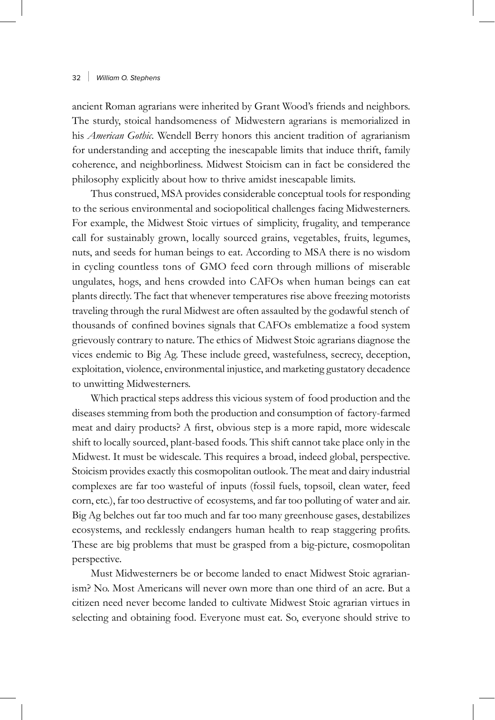ancient Roman agrarians were inherited by Grant Wood's friends and neighbors. The sturdy, stoical handsomeness of Midwestern agrarians is memorialized in his *American Gothic*. Wendell Berry honors this ancient tradition of agrarianism for understanding and accepting the inescapable limits that induce thrift, family coherence, and neighborliness. Midwest Stoicism can in fact be considered the philosophy explicitly about how to thrive amidst inescapable limits.

Thus construed, MSA provides considerable conceptual tools for responding to the serious environmental and sociopolitical challenges facing Midwesterners. For example, the Midwest Stoic virtues of simplicity, frugality, and temperance call for sustainably grown, locally sourced grains, vegetables, fruits, legumes, nuts, and seeds for human beings to eat. According to MSA there is no wisdom in cycling countless tons of GMO feed corn through millions of miserable ungulates, hogs, and hens crowded into CAFOs when human beings can eat plants directly. The fact that whenever temperatures rise above freezing motorists traveling through the rural Midwest are often assaulted by the godawful stench of thousands of confined bovines signals that CAFOs emblematize a food system grievously contrary to nature. The ethics of Midwest Stoic agrarians diagnose the vices endemic to Big Ag. These include greed, wastefulness, secrecy, deception, exploitation, violence, environmental injustice, and marketing gustatory decadence to unwitting Midwesterners.

Which practical steps address this vicious system of food production and the diseases stemming from both the production and consumption of factory-farmed meat and dairy products? A first, obvious step is a more rapid, more widescale shift to locally sourced, plant-based foods. This shift cannot take place only in the Midwest. It must be widescale. This requires a broad, indeed global, perspective. Stoicism provides exactly this cosmopolitan outlook. The meat and dairy industrial complexes are far too wasteful of inputs (fossil fuels, topsoil, clean water, feed corn, etc.), far too destructive of ecosystems, and far too polluting of water and air. Big Ag belches out far too much and far too many greenhouse gases, destabilizes ecosystems, and recklessly endangers human health to reap staggering profits. These are big problems that must be grasped from a big-picture, cosmopolitan perspective.

Must Midwesterners be or become landed to enact Midwest Stoic agrarianism? No. Most Americans will never own more than one third of an acre. But a citizen need never become landed to cultivate Midwest Stoic agrarian virtues in selecting and obtaining food. Everyone must eat. So, everyone should strive to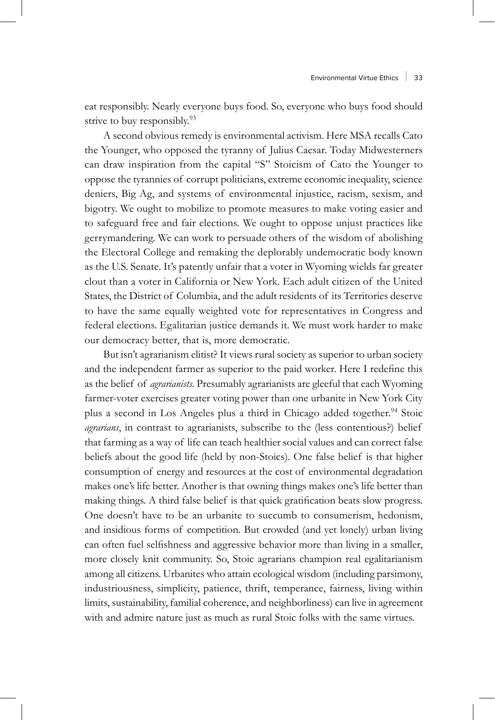eat responsibly. Nearly everyone buys food. So, everyone who buys food should strive to buy responsibly.<sup>93</sup>

A second obvious remedy is environmental activism. Here MSA recalls Cato the Younger, who opposed the tyranny of Julius Caesar. Today Midwesterners can draw inspiration from the capital "S" Stoicism of Cato the Younger to oppose the tyrannies of corrupt politicians, extreme economic inequality, science deniers, Big Ag, and systems of environmental injustice, racism, sexism, and bigotry. We ought to mobilize to promote measures to make voting easier and to safeguard free and fair elections. We ought to oppose unjust practices like gerrymandering. We can work to persuade others of the wisdom of abolishing the Electoral College and remaking the deplorably undemocratic body known as the U.S. Senate. It's patently unfair that a voter in Wyoming wields far greater clout than a voter in California or New York. Each adult citizen of the United States, the District of Columbia, and the adult residents of its Territories deserve to have the same equally weighted vote for representatives in Congress and federal elections. Egalitarian justice demands it. We must work harder to make our democracy better, that is, more democratic.

But isn't agrarianism elitist? It views rural society as superior to urban society and the independent farmer as superior to the paid worker. Here I redefine this as the belief of *agrarianists*. Presumably agrarianists are gleeful that each Wyoming farmer-voter exercises greater voting power than one urbanite in New York City plus a second in Los Angeles plus a third in Chicago added together.<sup>94</sup> Stoic *agrarians*, in contrast to agrarianists, subscribe to the (less contentious?) belief that farming as a way of life can teach healthier social values and can correct false beliefs about the good life (held by non-Stoics). One false belief is that higher consumption of energy and resources at the cost of environmental degradation makes one's life better. Another is that owning things makes one's life better than making things. A third false belief is that quick gratification beats slow progress. One doesn't have to be an urbanite to succumb to consumerism, hedonism, and insidious forms of competition. But crowded (and yet lonely) urban living can often fuel selfishness and aggressive behavior more than living in a smaller, more closely knit community. So, Stoic agrarians champion real egalitarianism among all citizens. Urbanites who attain ecological wisdom (including parsimony, industriousness, simplicity, patience, thrift, temperance, fairness, living within limits, sustainability, familial coherence, and neighborliness) can live in agreement with and admire nature just as much as rural Stoic folks with the same virtues.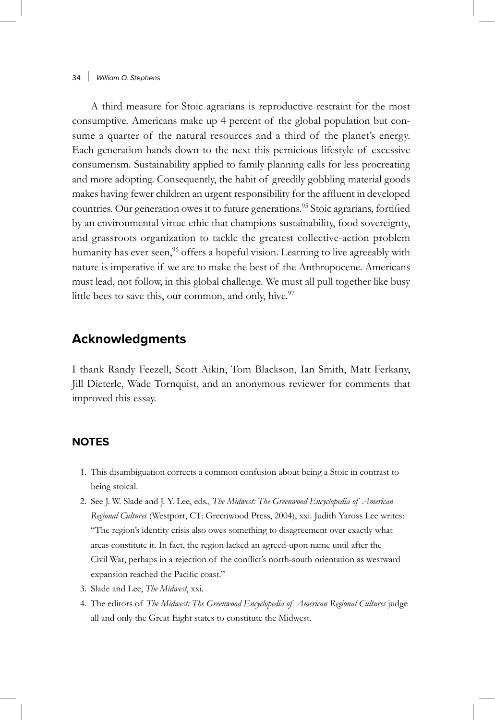A third measure for Stoic agrarians is reproductive restraint for the most consumptive. Americans make up 4 percent of the global population but consume a quarter of the natural resources and a third of the planet's energy. Each generation hands down to the next this pernicious lifestyle of excessive consumerism. Sustainability applied to family planning calls for less procreating and more adopting. Consequently, the habit of greedily gobbling material goods makes having fewer children an urgent responsibility for the affluent in developed countries. Our generation owes it to future generations.<sup>95</sup> Stoic agrarians, fortified by an environmental virtue ethic that champions sustainability, food sovereignty, and grassroots organization to tackle the greatest collective-action problem humanity has ever seen,<sup>96</sup> offers a hopeful vision. Learning to live agreeably with nature is imperative if we are to make the best of the Anthropocene. Americans must lead, not follow, in this global challenge. We must all pull together like busy little bees to save this, our common, and only, hive. $\frac{97}{2}$ 

# **Acknowledgments**

I thank Randy Feezell, Scott Aikin, Tom Blackson, Ian Smith, Matt Ferkany, Jill Dieterle, Wade Tornquist, and an anonymous reviewer for comments that improved this essay.

## **NOTES**

- 1. This disambiguation corrects a common confusion about being a Stoic in contrast to being stoical.
- 2. See J. W. Slade and J. Y. Lee, eds., *The Midwest: The Greenwood Encyclopedia of American Regional Cultures* (Westport, CT: Greenwood Press, 2004), xxi. Judith Yaross Lee writes: "The region's identity crisis also owes something to disagreement over exactly what areas constitute it. In fact, the region lacked an agreed-upon name until after the Civil War, perhaps in a rejection of the conflict's north-south orientation as westward expansion reached the Pacific coast."
- 3. Slade and Lee, *The Midwest*, xxi.
- 4. The editors of *The Midwest: The Greenwood Encyclopedia of American Regional Cultures* judge all and only the Great Eight states to constitute the Midwest.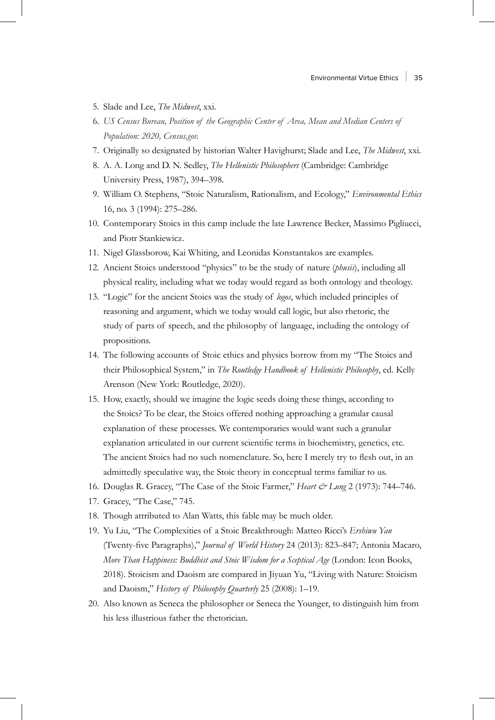- 5. Slade and Lee, *The Midwest*, xxi.
- 6. *US Census Bureau, Position of the Geographic Center of Area, Mean and Median Centers of Population: 2020, Census.gov.*
- 7. Originally so designated by historian Walter Havighurst; Slade and Lee, *The Midwest*, xxi.
- 8. A. A. Long and D. N. Sedley, *The Hellenistic Philosophers* (Cambridge: Cambridge University Press, 1987), 394–398.
- 9. William O. Stephens, "Stoic Naturalism, Rationalism, and Ecology," *Environmental Ethics* 16, no. 3 (1994): 275–286.
- 10. Contemporary Stoics in this camp include the late Lawrence Becker, Massimo Pigliucci, and Piotr Stankiewicz.
- 11. Nigel Glassborow, Kai Whiting, and Leonidas Konstantakos are examples.
- 12. Ancient Stoics understood "physics" to be the study of nature (*phusis*), including all physical reality, including what we today would regard as both ontology and theology.
- 13. "Logic" for the ancient Stoics was the study of *logos*, which included principles of reasoning and argument, which we today would call logic, but also rhetoric, the study of parts of speech, and the philosophy of language, including the ontology of propositions.
- 14. The following accounts of Stoic ethics and physics borrow from my "The Stoics and their Philosophical System," in *The Routledge Handbook of Hellenistic Philosophy*, ed. Kelly Arenson (New York: Routledge, 2020).
- 15. How, exactly, should we imagine the logic seeds doing these things, according to the Stoics? To be clear, the Stoics offered nothing approaching a granular causal explanation of these processes. We contemporaries would want such a granular explanation articulated in our current scientific terms in biochemistry, genetics, etc. The ancient Stoics had no such nomenclature. So, here I merely try to flesh out, in an admittedly speculative way, the Stoic theory in conceptual terms familiar to us.
- 16. Douglas R. Gracey, "The Case of the Stoic Farmer," *Heart & Lung* 2 (1973): 744–746.
- 17. Gracey, "The Case," 745.
- 18. Though attributed to Alan Watts, this fable may be much older.
- 19. Yu Liu, "The Complexities of a Stoic Breakthrough: Matteo Ricci's *Ershiwu Yan* (Twenty-five Paragraphs)," *Journal of World History* 24 (2013): 823–847; Antonia Macaro, *More Than Happiness: Buddhist and Stoic Wisdom for a Sceptical Age* (London: Icon Books, 2018). Stoicism and Daoism are compared in Jiyuan Yu, "Living with Nature: Stoicism and Daoism," *History of Philosophy Quarterly* 25 (2008): 1–19.
- 20. Also known as Seneca the philosopher or Seneca the Younger, to distinguish him from his less illustrious father the rhetorician.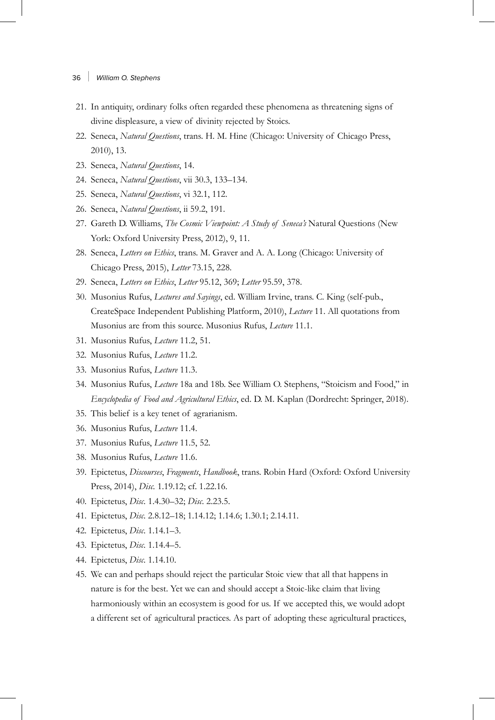- 36 | *William O. Stephens*
- 21. In antiquity, ordinary folks often regarded these phenomena as threatening signs of divine displeasure, a view of divinity rejected by Stoics.
- 22. Seneca, *Natural Questions*, trans. H. M. Hine (Chicago: University of Chicago Press, 2010), 13.
- 23. Seneca, *Natural Questions*, 14.
- 24. Seneca, *Natural Questions*, vii 30.3, 133–134.
- 25. Seneca, *Natural Questions*, vi 32.1, 112.
- 26. Seneca, *Natural Questions*, ii 59.2, 191.
- 27. Gareth D. Williams, *The Cosmic Viewpoint: A Study of Seneca's* Natural Questions (New York: Oxford University Press, 2012), 9, 11.
- 28. Seneca, *Letters on Ethics*, trans. M. Graver and A. A. Long (Chicago: University of Chicago Press, 2015), *Letter* 73.15, 228.
- 29. Seneca, *Letters on Ethics*, *Letter* 95.12, 369; *Letter* 95.59, 378.
- 30. Musonius Rufus, *Lectures and Sayings*, ed. William Irvine, trans. C. King (self-pub., CreateSpace Independent Publishing Platform, 2010), *Lecture* 11. All quotations from Musonius are from this source. Musonius Rufus, *Lecture* 11.1.
- 31. Musonius Rufus, *Lecture* 11.2, 51.
- 32. Musonius Rufus, *Lecture* 11.2.
- 33. Musonius Rufus, *Lecture* 11.3.
- 34. Musonius Rufus, *Lecture* 18a and 18b. See William O. Stephens, "Stoicism and Food," in *Encyclopedia of Food and Agricultural Ethics*, ed. D. M. Kaplan (Dordrecht: Springer, 2018).
- 35. This belief is a key tenet of agrarianism.
- 36. Musonius Rufus, *Lecture* 11.4.
- 37. Musonius Rufus, *Lecture* 11.5, 52.
- 38. Musonius Rufus, *Lecture* 11.6.
- 39. Epictetus, *Discourses*, *Fragments*, *Handbook*, trans. Robin Hard (Oxford: Oxford University Press, 2014), *Disc.* 1.19.12; cf. 1.22.16.
- 40. Epictetus, *Disc*. 1.4.30–32; *Disc*. 2.23.5.
- 41. Epictetus, *Disc*. 2.8.12–18; 1.14.12; 1.14.6; 1.30.1; 2.14.11.
- 42. Epictetus, *Disc*. 1.14.1–3.
- 43. Epictetus, *Disc*. 1.14.4–5.
- 44. Epictetus, *Disc*. 1.14.10.
- 45. We can and perhaps should reject the particular Stoic view that all that happens in nature is for the best. Yet we can and should accept a Stoic-like claim that living harmoniously within an ecosystem is good for us. If we accepted this, we would adopt a different set of agricultural practices. As part of adopting these agricultural practices,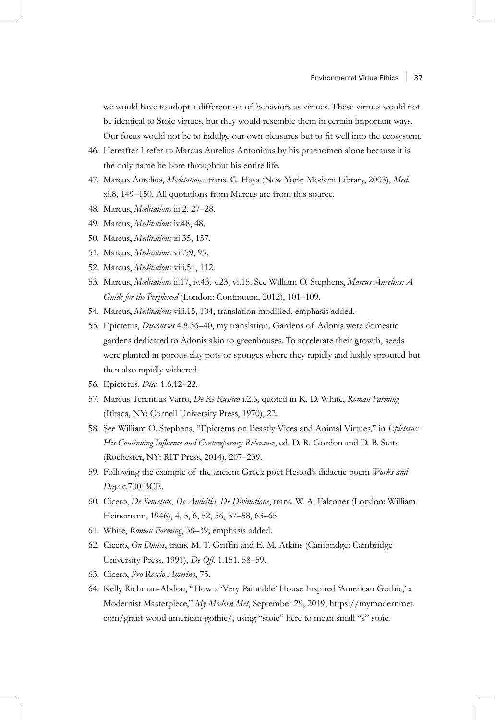we would have to adopt a different set of behaviors as virtues. These virtues would not be identical to Stoic virtues, but they would resemble them in certain important ways. Our focus would not be to indulge our own pleasures but to fit well into the ecosystem.

- 46. Hereafter I refer to Marcus Aurelius Antoninus by his praenomen alone because it is the only name he bore throughout his entire life.
- 47. Marcus Aurelius, *Meditations*, trans. G. Hays (New York: Modern Library, 2003), *Med*. xi.8, 149–150. All quotations from Marcus are from this source.
- 48. Marcus, *Meditations* iii.2, 27–28.
- 49. Marcus, *Meditations* iv.48, 48.
- 50. Marcus, *Meditations* xi.35, 157.
- 51. Marcus, *Meditations* vii.59, 95.
- 52. Marcus, *Meditations* viii.51, 112.
- 53. Marcus, *Meditations* ii.17, iv.43, v.23, vi.15. See William O. Stephens, *Marcus Aurelius: A Guide for the Perplexed* (London: Continuum, 2012), 101–109.
- 54. Marcus, *Meditations* viii.15, 104; translation modified, emphasis added.
- 55. Epictetus, *Discourses* 4.8.36–40, my translation. Gardens of Adonis were domestic gardens dedicated to Adonis akin to greenhouses. To accelerate their growth, seeds were planted in porous clay pots or sponges where they rapidly and lushly sprouted but then also rapidly withered.
- 56. Epictetus, *Disc*. 1.6.12–22.
- 57. Marcus Terentius Varro, *De Re Rustica* i.2.6, quoted in K. D. White, *Roman Farming* (Ithaca, NY: Cornell University Press, 1970), 22.
- 58. See William O. Stephens, "Epictetus on Beastly Vices and Animal Virtues," in *Epictetus: His Continuing Influence and Contemporary Relevance*, ed. D. R. Gordon and D. B. Suits (Rochester, NY: RIT Press, 2014), 207–239.
- 59. Following the example of the ancient Greek poet Hesiod's didactic poem *Works and Days* c.700 BCE.
- 60. Cicero, *De Senectute*, *De Amicitia*, *De Divinatione*, trans. W. A. Falconer (London: William Heinemann, 1946), 4, 5, 6, 52, 56, 57–58, 63–65.
- 61. White, *Roman Farming*, 38–39; emphasis added.
- 62. Cicero, *On Duties*, trans. M. T. Griffin and E. M. Atkins (Cambridge: Cambridge University Press, 1991), *De Off*. 1.151, 58–59.
- 63. Cicero, *Pro Roscio Amerino*, 75.
- 64. Kelly Richman-Abdou, "How a 'Very Paintable' House Inspired 'American Gothic,' a Modernist Masterpiece," *My Modern Met*, September 29, 2019, [https://mymodernmet.](https://mymodernmet.com/grant-wood-american-gothic/) [com/grant-wood-american-gothic/,](https://mymodernmet.com/grant-wood-american-gothic/) using "stoic" here to mean small "s" stoic.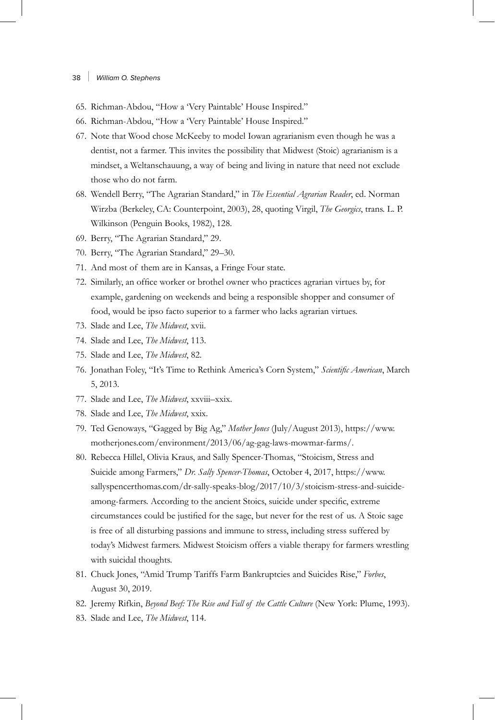- 65. Richman-Abdou, "How a 'Very Paintable' House Inspired."
- 66. Richman-Abdou, "How a 'Very Paintable' House Inspired."
- 67. Note that Wood chose McKeeby to model Iowan agrarianism even though he was a dentist, not a farmer. This invites the possibility that Midwest (Stoic) agrarianism is a mindset, a Weltanschauung, a way of being and living in nature that need not exclude those who do not farm.
- 68. Wendell Berry, "The Agrarian Standard," in *The Essential Agrarian Reader*, ed. Norman Wirzba (Berkeley, CA: Counterpoint, 2003), 28, quoting Virgil, *The Georgics*, trans. L. P. Wilkinson (Penguin Books, 1982), 128.
- 69. Berry, "The Agrarian Standard," 29.
- 70. Berry, "The Agrarian Standard," 29–30.
- 71. And most of them are in Kansas, a Fringe Four state.
- 72. Similarly, an office worker or brothel owner who practices agrarian virtues by, for example, gardening on weekends and being a responsible shopper and consumer of food, would be ipso facto superior to a farmer who lacks agrarian virtues.
- 73. Slade and Lee, *The Midwest*, xvii.
- 74. Slade and Lee, *The Midwest*, 113.
- 75. Slade and Lee, *The Midwest*, 82.
- 76. Jonathan Foley, "It's Time to Rethink America's Corn System," *Scientific American*, March 5, 2013.
- 77. Slade and Lee, *The Midwest*, xxviii–xxix.
- 78. Slade and Lee, *The Midwest*, xxix.
- 79. Ted Genoways, "Gagged by Big Ag," *Mother Jones* (July/August 2013), [https://www.](https://www.motherjones.com/environment/2013/06/ag-gag-laws-mowmar-farms) [motherjones.com/environment/2013/06/ag-gag-laws-mowmar-farms](https://www.motherjones.com/environment/2013/06/ag-gag-laws-mowmar-farms)/.
- 80. Rebecca Hillel, Olivia Kraus, and Sally Spencer-Thomas, "Stoicism, Stress and Suicide among Farmers," *Dr. Sally Spencer-Thomas*, October 4, 2017, [https://www.](https://www.sallyspencerthomas.com/dr-sally-speaks-blog/2017/10/3/stoicism-stress-and-suicide-among-farmers) [sallyspencerthomas.com/dr-sally-speaks-blog/2017/10/3/stoicism-stress-and-suicide](https://www.sallyspencerthomas.com/dr-sally-speaks-blog/2017/10/3/stoicism-stress-and-suicide-among-farmers)[among-farmers](https://www.sallyspencerthomas.com/dr-sally-speaks-blog/2017/10/3/stoicism-stress-and-suicide-among-farmers). According to the ancient Stoics, suicide under specific, extreme circumstances could be justified for the sage, but never for the rest of us. A Stoic sage is free of all disturbing passions and immune to stress, including stress suffered by today's Midwest farmers. Midwest Stoicism offers a viable therapy for farmers wrestling with suicidal thoughts.
- 81. Chuck Jones, "Amid Trump Tariffs Farm Bankruptcies and Suicides Rise," *Forbes*, August 30, 2019.
- 82. Jeremy Rifkin, *Beyond Beef: The Rise and Fall of the Cattle Culture* (New York: Plume, 1993).
- 83. Slade and Lee, *The Midwest*, 114.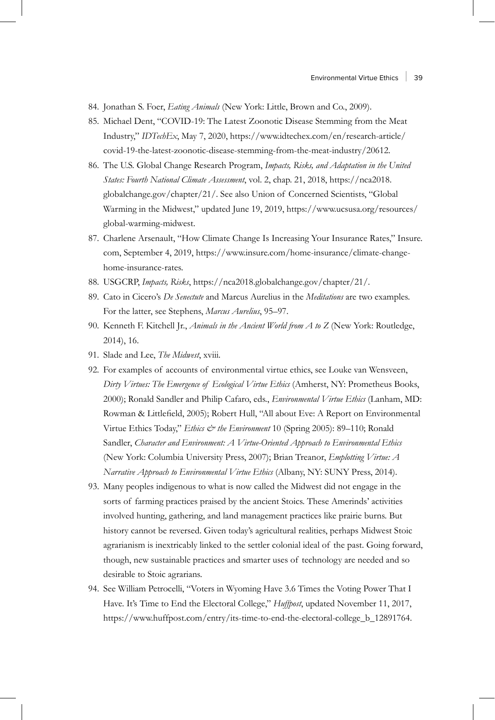- 84. Jonathan S. Foer, *Eating Animals* (New York: Little, Brown and Co., 2009).
- 85. Michael Dent, "COVID-19: The Latest Zoonotic Disease Stemming from the Meat Industry," *IDTechEx*, May 7, 2020, [https://www.idtechex.com/en/research-article/](https://www.idtechex.com/en/research-article/covid-19-the-latest-zoonotic-disease-stemming-from-the-meat-industry/20612) [covid-19-the-latest-zoonotic-disease-stemming-from-the-meat-industry/20612](https://www.idtechex.com/en/research-article/covid-19-the-latest-zoonotic-disease-stemming-from-the-meat-industry/20612).
- 86. The U.S. Global Change Research Program, *Impacts, Risks, and Adaptation in the United States: Fourth National Climate Assessment*, vol. 2, chap. 21, 2018, [https://nca2018.](https://nca2018.globalchange.gov/chapter/21/) [globalchange.gov/chapter/21/.](https://nca2018.globalchange.gov/chapter/21/) See also Union of Concerned Scientists, "Global Warming in the Midwest," updated June 19, 2019, [https://www.ucsusa.org/resources/](https://www.ucsusa.org/resources/global-warming-midwest) [global-warming-midwest](https://www.ucsusa.org/resources/global-warming-midwest).
- 87. Charlene Arsenault, "How Climate Change Is Increasing Your Insurance Rates," Insure. com, September 4, 2019[, https://www.insure.com/home-insurance/climate-change](https://www.insure.com/home-insurance/climate-change-home-insurance-rates)[home-insurance-rates.](https://www.insure.com/home-insurance/climate-change-home-insurance-rates)
- 88. USGCRP, *Impacts, Risks*, https://nca2018.globalchange.gov/chapter/21/.
- 89. Cato in Cicero's *De Senectute* and Marcus Aurelius in the *Meditations* are two examples. For the latter, see Stephens, *Marcus Aurelius*, 95–97.
- 90. Kenneth F. Kitchell Jr., *Animals in the Ancient World from A to Z* (New York: Routledge, 2014), 16.
- 91. Slade and Lee, *The Midwest*, xviii.
- 92. For examples of accounts of environmental virtue ethics, see Louke van Wensveen, *Dirty Virtues: The Emergence of Ecological Virtue Ethics* (Amherst, NY: Prometheus Books, 2000); Ronald Sandler and Philip Cafaro, eds., *Environmental Virtue Ethics* (Lanham, MD: Rowman & Littlefield, 2005); Robert Hull, "All about Eve: A Report on Environmental Virtue Ethics Today," *Ethics & the Environment* 10 (Spring 2005): 89–110; Ronald Sandler, *Character and Environment: A Virtue-Oriented Approach to Environmental Ethics* (New York: Columbia University Press, 2007); Brian Treanor, *Emplotting Virtue: A Narrative Approach to Environmental Virtue Ethics* (Albany, NY: SUNY Press, 2014).
- 93. Many peoples indigenous to what is now called the Midwest did not engage in the sorts of farming practices praised by the ancient Stoics. These Amerinds' activities involved hunting, gathering, and land management practices like prairie burns. But history cannot be reversed. Given today's agricultural realities, perhaps Midwest Stoic agrarianism is inextricably linked to the settler colonial ideal of the past. Going forward, though, new sustainable practices and smarter uses of technology are needed and so desirable to Stoic agrarians.
- 94. See William Petrocelli, "Voters in Wyoming Have 3.6 Times the Voting Power That I Have. It's Time to End the Electoral College," *Huffpost*, updated November 11, 2017, https://www.huffpost.com/entry/its-time-to-end-the-electoral-college\_b\_12891764.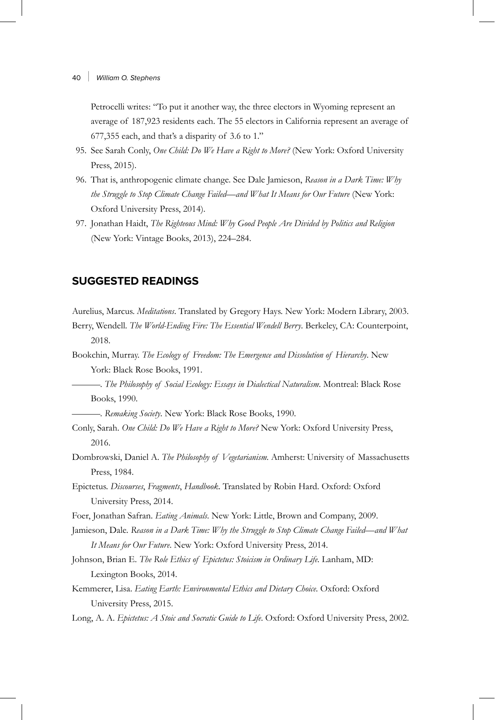Petrocelli writes: "To put it another way, the three electors in Wyoming represent an average of 187,923 residents each. The 55 electors in California represent an average of 677,355 each, and that's a disparity of 3.6 to 1."

- 95. See Sarah Conly, *One Child: Do We Have a Right to More?* (New York: Oxford University Press, 2015).
- 96. That is, anthropogenic climate change. See Dale Jamieson, *Reason in a Dark Time: Why the Struggle to Stop Climate Change Failed—and What It Means for Our Future* (New York: Oxford University Press, 2014).
- 97. Jonathan Haidt, *The Righteous Mind: Why Good People Are Divided by Politics and Religion* (New York: Vintage Books, 2013), 224–284.

## **SUGGESTED READINGS**

Aurelius, Marcus. *Meditations*. Translated by Gregory Hays. New York: Modern Library, 2003.

- Berry, Wendell. *The World-Ending Fire: The Essential Wendell Berry*. Berkeley, CA: Counterpoint, 2018.
- Bookchin, Murray. *The Ecology of Freedom: The Emergence and Dissolution of Hierarchy*. New York: Black Rose Books, 1991.

—. *The Philosophy of Social Ecology: Essays in Dialectical Naturalism*. Montreal: Black Rose Books, 1990.

—. *Remaking Society*. New York: Black Rose Books, 1990.

- Conly, Sarah. *One Child: Do We Have a Right to More?* New York: Oxford University Press, 2016.
- Dombrowski, Daniel A. *The Philosophy of Vegetarianism*. Amherst: University of Massachusetts Press, 1984.

Epictetus. *Discourses*, *Fragments*, *Handbook*. Translated by Robin Hard. Oxford: Oxford University Press, 2014.

Foer, Jonathan Safran. *Eating Animals*. New York: Little, Brown and Company, 2009.

Jamieson, Dale. Reason in a Dark Time: Why the Struggle to Stop Climate Change Failed—and What *It Means for Our Future*. New York: Oxford University Press, 2014.

- Johnson, Brian E. *The Role Ethics of Epictetus: Stoicism in Ordinary Life*. Lanham, MD: Lexington Books, 2014.
- Kemmerer, Lisa. *Eating Earth: Environmental Ethics and Dietary Choice*. Oxford: Oxford University Press, 2015.

Long, A. A. *Epictetus: A Stoic and Socratic Guide to Life*. Oxford: Oxford University Press, 2002.

<sup>40 |</sup> *William O. Stephens*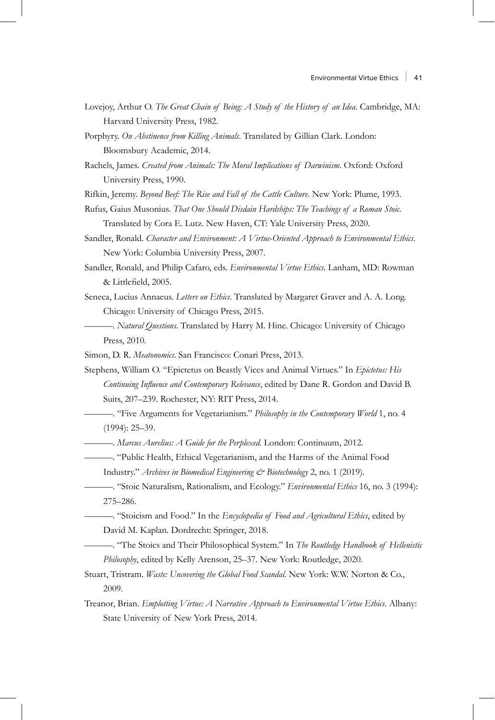- Lovejoy, Arthur O. *The Great Chain of Being: A Study of the History of an Idea*. Cambridge, MA: Harvard University Press, 1982.
- Porphyry. *On Abstinence from Killing Animals*. Translated by Gillian Clark. London: Bloomsbury Academic, 2014.
- Rachels, James. *Created from Animals: The Moral Implications of Darwinism*. Oxford: Oxford University Press, 1990.
- Rifkin, Jeremy. *Beyond Beef: The Rise and Fall of the Cattle Culture*. New York: Plume, 1993.
- Rufus, Gaius Musonius. *That One Should Disdain Hardships: The Teachings of a Roman Stoic*. Translated by Cora E. Lutz. New Haven, CT: Yale University Press, 2020.
- Sandler, Ronald. *Character and Environment: A Virtue-Oriented Approach to Environmental Ethics*. New York: Columbia University Press, 2007.
- Sandler, Ronald, and Philip Cafaro, eds. *Environmental Virtue Ethics*. Lanham, MD: Rowman & Littlefield, 2005.
- Seneca, Lucius Annaeus. *Letters on Ethics*. Translated by Margaret Graver and A. A. Long. Chicago: University of Chicago Press, 2015.
	- —. *Natural Questions*. Translated by Harry M. Hine. Chicago: University of Chicago Press, 2010.

Simon, D. R. *Meatonomics*. San Francisco: Conari Press, 2013.

- Stephens, William O. "Epictetus on Beastly Vices and Animal Virtues." In *Epictetus: His Continuing Influence and Contemporary Relevance*, edited by Dane R. Gordon and David B. Suits, 207–239. Rochester, NY: RIT Press, 2014.
- —. "Five Arguments for Vegetarianism." *Philosophy in the Contemporary World* 1, no. 4 (1994): 25–39.
	- —. *Marcus Aurelius: A Guide for the Perplexed*. London: Continuum, 2012.
	- —. "Public Health, Ethical Vegetarianism, and the Harms of the Animal Food Industry." *Archives in Biomedical Engineering & Biotechnology* 2, no. 1 (2019).
	- —. "Stoic Naturalism, Rationalism, and Ecology." *Environmental Ethics* 16, no. 3 (1994): 275–286.
		- —. "Stoicism and Food." In the *Encyclopedia of Food and Agricultural Ethics*, edited by David M. Kaplan. Dordrecht: Springer, 2018.
	- —. "The Stoics and Their Philosophical System." In *The Routledge Handbook of Hellenistic Philosophy*, edited by Kelly Arenson, 25–37. New York: Routledge, 2020.
- Stuart, Tristram. *Waste: Uncovering the Global Food Scandal*. New York: W.W. Norton & Co., 2009.
- Treanor, Brian. *Emplotting Virtue: A Narrative Approach to Environmental Virtue Ethics*. Albany: State University of New York Press, 2014.